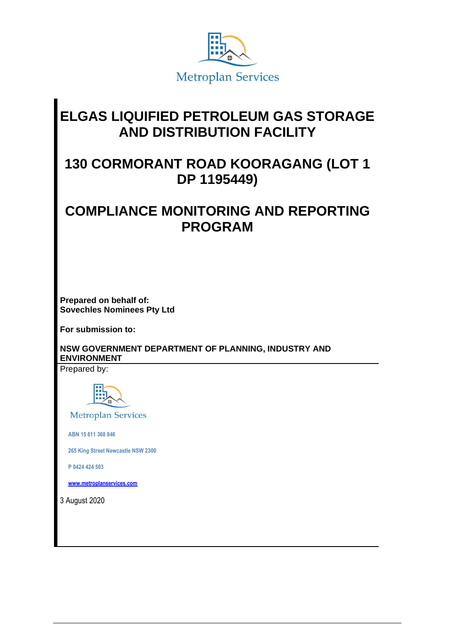

# **ELGAS LIQUIFIED PETROLEUM GAS STORAGE AND DISTRIBUTION FACILITY**

## **130 CORMORANT ROAD KOORAGANG (LOT 1 DP 1195449)**

## **COMPLIANCE MONITORING AND REPORTING PROGRAM**

**Prepared on behalf of: Sovechles Nominees Pty Ltd**

**For submission to:**

**NSW GOVERNMENT DEPARTMENT OF PLANNING, INDUSTRY AND ENVIRONMENT** 

Prepared by:



**Metroplan Services** 

 **ABN 15 611 368 846**

 **265 King Street Newcastle NSW 2300**

 **P 0424 424 503**

 **[www.metroplanservices.com](http://www.metroplanservices.com/)**

3 August 2020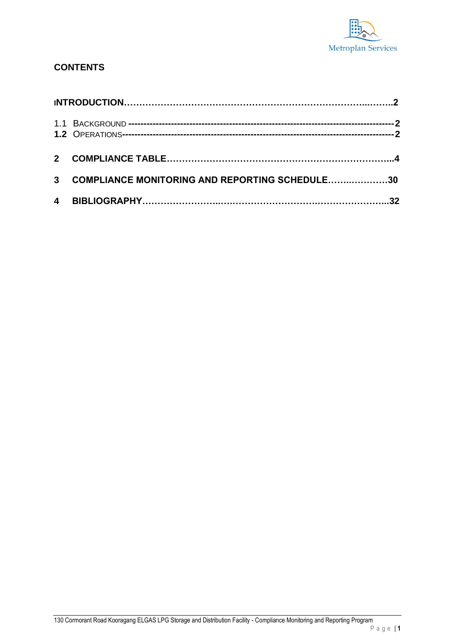

#### **CONTENTS**

| 3 COMPLIANCE MONITORING AND REPORTING SCHEDULE30 |  |
|--------------------------------------------------|--|
|                                                  |  |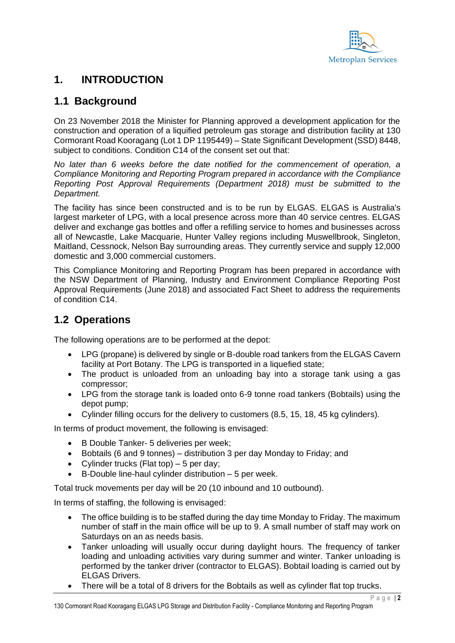

#### **1. INTRODUCTION**

#### <span id="page-2-0"></span>**1.1 Background**

On 23 November 2018 the Minister for Planning approved a development application for the construction and operation of a liquified petroleum gas storage and distribution facility at 130 Cormorant Road Kooragang (Lot 1 DP 1195449) – State Significant Development (SSD) 8448, subject to conditions. Condition C14 of the consent set out that:

*No later than 6 weeks before the date notified for the commencement of operation, a Compliance Monitoring and Reporting Program prepared in accordance with the Compliance Reporting Post Approval Requirements (Department 2018) must be submitted to the Department.*

The facility has since been constructed and is to be run by ELGAS. ELGAS is Australia's largest marketer of LPG, with a local presence across more than 40 service centres. ELGAS deliver and exchange gas bottles and offer a refilling service to homes and businesses across all of Newcastle, Lake Macquarie, Hunter Valley regions including Muswellbrook, Singleton, Maitland, Cessnock, Nelson Bay surrounding areas. They currently service and supply 12,000 domestic and 3,000 commercial customers.

This Compliance Monitoring and Reporting Program has been prepared in accordance with the NSW Department of Planning, Industry and Environment Compliance Reporting Post Approval Requirements (June 2018) and associated Fact Sheet to address the requirements of condition C14.

### <span id="page-2-1"></span>**1.2 Operations**

The following operations are to be performed at the depot:

- LPG (propane) is delivered by single or B-double road tankers from the ELGAS Cavern facility at Port Botany. The LPG is transported in a liquefied state;
- The product is unloaded from an unloading bay into a storage tank using a gas compressor;
- LPG from the storage tank is loaded onto 6-9 tonne road tankers (Bobtails) using the depot pump;
- Cylinder filling occurs for the delivery to customers (8.5, 15, 18, 45 kg cylinders).

In terms of product movement, the following is envisaged:

- B Double Tanker- 5 deliveries per week;
- Bobtails (6 and 9 tonnes) distribution 3 per day Monday to Friday; and
- Cylinder trucks (Flat top)  $-5$  per day;
- B-Double line-haul cylinder distribution 5 per week.

Total truck movements per day will be 20 (10 inbound and 10 outbound).

In terms of staffing, the following is envisaged:

- The office building is to be staffed during the day time Monday to Friday. The maximum number of staff in the main office will be up to 9. A small number of staff may work on Saturdays on an as needs basis.
- Tanker unloading will usually occur during daylight hours. The frequency of tanker loading and unloading activities vary during summer and winter. Tanker unloading is performed by the tanker driver (contractor to ELGAS). Bobtail loading is carried out by ELGAS Drivers.
- There will be a total of 8 drivers for the Bobtails as well as cylinder flat top trucks.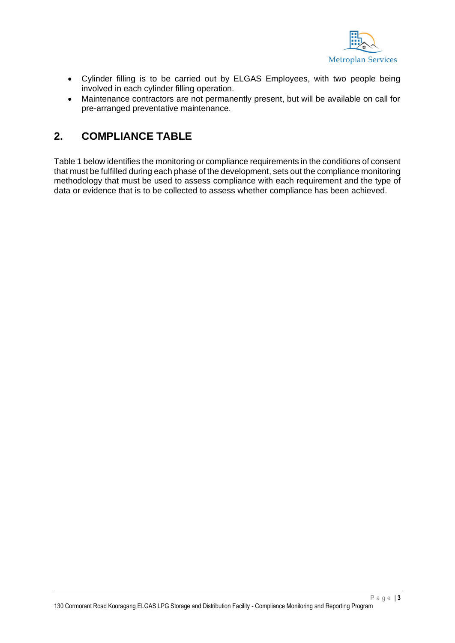

- Cylinder filling is to be carried out by ELGAS Employees, with two people being involved in each cylinder filling operation.
- Maintenance contractors are not permanently present, but will be available on call for pre-arranged preventative maintenance.

### **2. COMPLIANCE TABLE**

Table 1 below identifies the monitoring or compliance requirements in the conditions of consent that must be fulfilled during each phase of the development, sets out the compliance monitoring methodology that must be used to assess compliance with each requirement and the type of data or evidence that is to be collected to assess whether compliance has been achieved.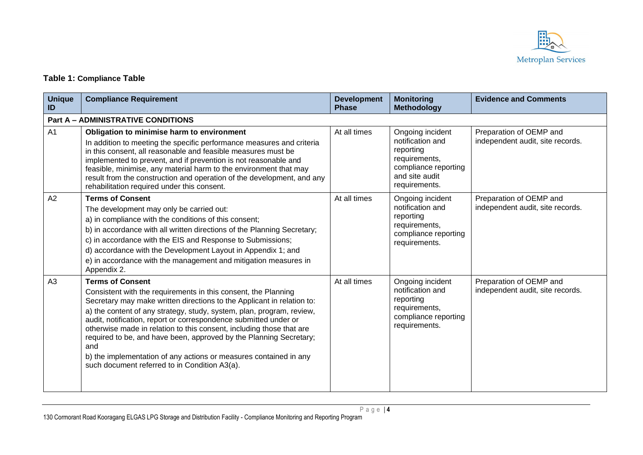

#### **Table 1: Compliance Table**

| <b>Unique</b><br>ID | <b>Compliance Requirement</b>                                                                                                                                                                                                                                                                                                                                                                                                                                                                                                                                                               | <b>Development</b><br><b>Phase</b> | <b>Monitoring</b><br><b>Methodology</b>                                                                                       | <b>Evidence and Comments</b>                                |
|---------------------|---------------------------------------------------------------------------------------------------------------------------------------------------------------------------------------------------------------------------------------------------------------------------------------------------------------------------------------------------------------------------------------------------------------------------------------------------------------------------------------------------------------------------------------------------------------------------------------------|------------------------------------|-------------------------------------------------------------------------------------------------------------------------------|-------------------------------------------------------------|
|                     | <b>Part A - ADMINISTRATIVE CONDITIONS</b>                                                                                                                                                                                                                                                                                                                                                                                                                                                                                                                                                   |                                    |                                                                                                                               |                                                             |
| A <sub>1</sub>      | Obligation to minimise harm to environment<br>In addition to meeting the specific performance measures and criteria<br>in this consent, all reasonable and feasible measures must be<br>implemented to prevent, and if prevention is not reasonable and<br>feasible, minimise, any material harm to the environment that may<br>result from the construction and operation of the development, and any<br>rehabilitation required under this consent.                                                                                                                                       | At all times                       | Ongoing incident<br>notification and<br>reporting<br>requirements,<br>compliance reporting<br>and site audit<br>requirements. | Preparation of OEMP and<br>independent audit, site records. |
| A2                  | <b>Terms of Consent</b><br>The development may only be carried out:<br>a) in compliance with the conditions of this consent;<br>b) in accordance with all written directions of the Planning Secretary;<br>c) in accordance with the EIS and Response to Submissions;<br>d) accordance with the Development Layout in Appendix 1; and<br>e) in accordance with the management and mitigation measures in<br>Appendix 2.                                                                                                                                                                     | At all times                       | Ongoing incident<br>notification and<br>reporting<br>requirements,<br>compliance reporting<br>requirements.                   | Preparation of OEMP and<br>independent audit, site records. |
| A <sub>3</sub>      | <b>Terms of Consent</b><br>Consistent with the requirements in this consent, the Planning<br>Secretary may make written directions to the Applicant in relation to:<br>a) the content of any strategy, study, system, plan, program, review,<br>audit, notification, report or correspondence submitted under or<br>otherwise made in relation to this consent, including those that are<br>required to be, and have been, approved by the Planning Secretary;<br>and<br>b) the implementation of any actions or measures contained in any<br>such document referred to in Condition A3(a). | At all times                       | Ongoing incident<br>notification and<br>reporting<br>requirements,<br>compliance reporting<br>requirements.                   | Preparation of OEMP and<br>independent audit, site records. |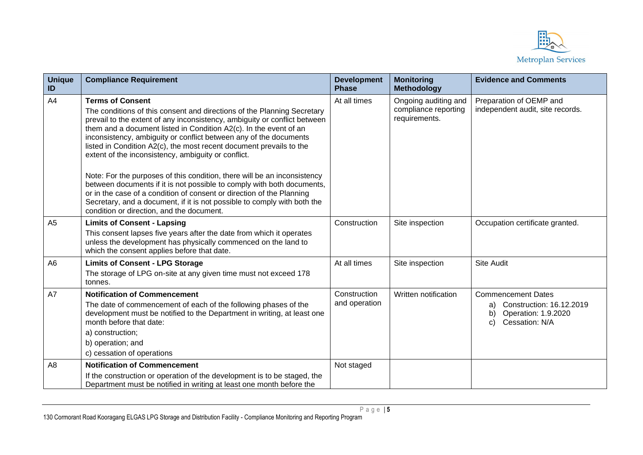

| <b>Unique</b><br>ID | <b>Compliance Requirement</b>                                                                                                                                                                                                                                                                                                                                                                                                                                                                                                                                                                                 | <b>Development</b><br><b>Phase</b> | <b>Monitoring</b><br><b>Methodology</b>                       | <b>Evidence and Comments</b>                                                                                     |
|---------------------|---------------------------------------------------------------------------------------------------------------------------------------------------------------------------------------------------------------------------------------------------------------------------------------------------------------------------------------------------------------------------------------------------------------------------------------------------------------------------------------------------------------------------------------------------------------------------------------------------------------|------------------------------------|---------------------------------------------------------------|------------------------------------------------------------------------------------------------------------------|
| A4                  | <b>Terms of Consent</b><br>The conditions of this consent and directions of the Planning Secretary<br>prevail to the extent of any inconsistency, ambiguity or conflict between<br>them and a document listed in Condition A2(c). In the event of an<br>inconsistency, ambiguity or conflict between any of the documents<br>listed in Condition A2(c), the most recent document prevails to the<br>extent of the inconsistency, ambiguity or conflict.<br>Note: For the purposes of this condition, there will be an inconsistency<br>between documents if it is not possible to comply with both documents, | At all times                       | Ongoing auditing and<br>compliance reporting<br>requirements. | Preparation of OEMP and<br>independent audit, site records.                                                      |
|                     | or in the case of a condition of consent or direction of the Planning<br>Secretary, and a document, if it is not possible to comply with both the<br>condition or direction, and the document.                                                                                                                                                                                                                                                                                                                                                                                                                |                                    |                                                               |                                                                                                                  |
| A <sub>5</sub>      | <b>Limits of Consent - Lapsing</b><br>This consent lapses five years after the date from which it operates<br>unless the development has physically commenced on the land to<br>which the consent applies before that date.                                                                                                                                                                                                                                                                                                                                                                                   | Construction                       | Site inspection                                               | Occupation certificate granted.                                                                                  |
| A <sub>6</sub>      | <b>Limits of Consent - LPG Storage</b><br>The storage of LPG on-site at any given time must not exceed 178<br>tonnes.                                                                                                                                                                                                                                                                                                                                                                                                                                                                                         | At all times                       | Site inspection                                               | <b>Site Audit</b>                                                                                                |
| A7                  | <b>Notification of Commencement</b><br>The date of commencement of each of the following phases of the<br>development must be notified to the Department in writing, at least one<br>month before that date:<br>a) construction;<br>b) operation; and<br>c) cessation of operations                                                                                                                                                                                                                                                                                                                           | Construction<br>and operation      | Written notification                                          | <b>Commencement Dates</b><br>Construction: 16.12.2019<br>a)<br>Operation: 1.9.2020<br>b)<br>Cessation: N/A<br>C) |
| A <sub>8</sub>      | <b>Notification of Commencement</b><br>If the construction or operation of the development is to be staged, the<br>Department must be notified in writing at least one month before the                                                                                                                                                                                                                                                                                                                                                                                                                       | Not staged                         |                                                               |                                                                                                                  |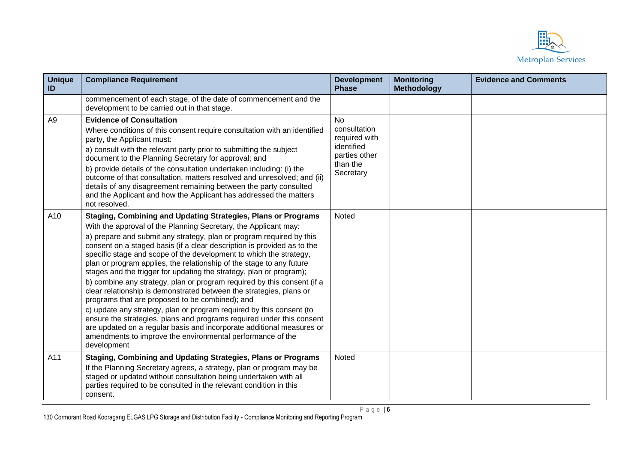

| <b>Unique</b><br>ID | <b>Compliance Requirement</b>                                                                                                                                                                                                                                                                                                                                                                                                                                                                                                                                                                                                                                                                                                                                                                                                                                                                                                                                                                                               | <b>Development</b><br><b>Phase</b>                                                                 | <b>Monitoring</b><br><b>Methodology</b> | <b>Evidence and Comments</b> |
|---------------------|-----------------------------------------------------------------------------------------------------------------------------------------------------------------------------------------------------------------------------------------------------------------------------------------------------------------------------------------------------------------------------------------------------------------------------------------------------------------------------------------------------------------------------------------------------------------------------------------------------------------------------------------------------------------------------------------------------------------------------------------------------------------------------------------------------------------------------------------------------------------------------------------------------------------------------------------------------------------------------------------------------------------------------|----------------------------------------------------------------------------------------------------|-----------------------------------------|------------------------------|
|                     | commencement of each stage, of the date of commencement and the<br>development to be carried out in that stage.                                                                                                                                                                                                                                                                                                                                                                                                                                                                                                                                                                                                                                                                                                                                                                                                                                                                                                             |                                                                                                    |                                         |                              |
| A <sub>9</sub>      | <b>Evidence of Consultation</b><br>Where conditions of this consent require consultation with an identified<br>party, the Applicant must:<br>a) consult with the relevant party prior to submitting the subject<br>document to the Planning Secretary for approval; and<br>b) provide details of the consultation undertaken including: (i) the<br>outcome of that consultation, matters resolved and unresolved; and (ii)<br>details of any disagreement remaining between the party consulted<br>and the Applicant and how the Applicant has addressed the matters<br>not resolved.                                                                                                                                                                                                                                                                                                                                                                                                                                       | <b>No</b><br>consultation<br>required with<br>identified<br>parties other<br>than the<br>Secretary |                                         |                              |
| A10                 | <b>Staging, Combining and Updating Strategies, Plans or Programs</b><br>With the approval of the Planning Secretary, the Applicant may:<br>a) prepare and submit any strategy, plan or program required by this<br>consent on a staged basis (if a clear description is provided as to the<br>specific stage and scope of the development to which the strategy,<br>plan or program applies, the relationship of the stage to any future<br>stages and the trigger for updating the strategy, plan or program);<br>b) combine any strategy, plan or program required by this consent (if a<br>clear relationship is demonstrated between the strategies, plans or<br>programs that are proposed to be combined); and<br>c) update any strategy, plan or program required by this consent (to<br>ensure the strategies, plans and programs required under this consent<br>are updated on a regular basis and incorporate additional measures or<br>amendments to improve the environmental performance of the<br>development | <b>Noted</b>                                                                                       |                                         |                              |
| A11                 | <b>Staging, Combining and Updating Strategies, Plans or Programs</b><br>If the Planning Secretary agrees, a strategy, plan or program may be<br>staged or updated without consultation being undertaken with all<br>parties required to be consulted in the relevant condition in this<br>consent.                                                                                                                                                                                                                                                                                                                                                                                                                                                                                                                                                                                                                                                                                                                          | <b>Noted</b>                                                                                       |                                         |                              |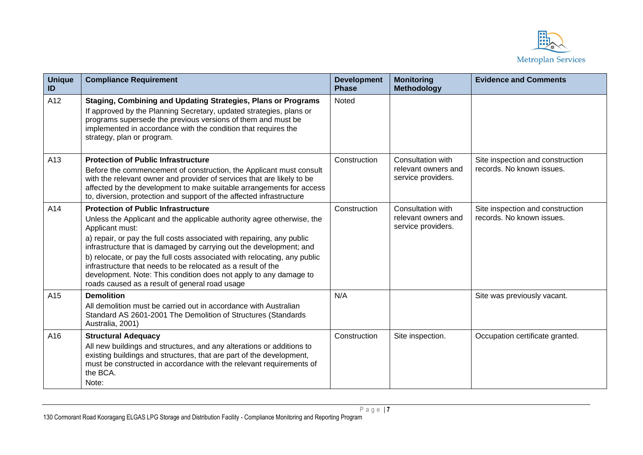

| <b>Unique</b><br>ID | <b>Compliance Requirement</b>                                                                                                                                                                                                                                                                                                                                                                                                                                                                                                                                | <b>Development</b><br><b>Phase</b> | <b>Monitoring</b><br><b>Methodology</b>                        | <b>Evidence and Comments</b>                                  |
|---------------------|--------------------------------------------------------------------------------------------------------------------------------------------------------------------------------------------------------------------------------------------------------------------------------------------------------------------------------------------------------------------------------------------------------------------------------------------------------------------------------------------------------------------------------------------------------------|------------------------------------|----------------------------------------------------------------|---------------------------------------------------------------|
| A12                 | <b>Staging, Combining and Updating Strategies, Plans or Programs</b><br>If approved by the Planning Secretary, updated strategies, plans or<br>programs supersede the previous versions of them and must be<br>implemented in accordance with the condition that requires the<br>strategy, plan or program.                                                                                                                                                                                                                                                  | Noted                              |                                                                |                                                               |
| A13                 | <b>Protection of Public Infrastructure</b><br>Before the commencement of construction, the Applicant must consult<br>with the relevant owner and provider of services that are likely to be<br>affected by the development to make suitable arrangements for access<br>to, diversion, protection and support of the affected infrastructure                                                                                                                                                                                                                  | Construction                       | Consultation with<br>relevant owners and<br>service providers. | Site inspection and construction<br>records. No known issues. |
| A14                 | <b>Protection of Public Infrastructure</b><br>Unless the Applicant and the applicable authority agree otherwise, the<br>Applicant must:<br>a) repair, or pay the full costs associated with repairing, any public<br>infrastructure that is damaged by carrying out the development; and<br>b) relocate, or pay the full costs associated with relocating, any public<br>infrastructure that needs to be relocated as a result of the<br>development. Note: This condition does not apply to any damage to<br>roads caused as a result of general road usage | Construction                       | Consultation with<br>relevant owners and<br>service providers. | Site inspection and construction<br>records. No known issues. |
| A15                 | <b>Demolition</b><br>All demolition must be carried out in accordance with Australian<br>Standard AS 2601-2001 The Demolition of Structures (Standards<br>Australia, 2001)                                                                                                                                                                                                                                                                                                                                                                                   | N/A                                |                                                                | Site was previously vacant.                                   |
| A16                 | <b>Structural Adequacy</b><br>All new buildings and structures, and any alterations or additions to<br>existing buildings and structures, that are part of the development,<br>must be constructed in accordance with the relevant requirements of<br>the BCA.<br>Note:                                                                                                                                                                                                                                                                                      | Construction                       | Site inspection.                                               | Occupation certificate granted.                               |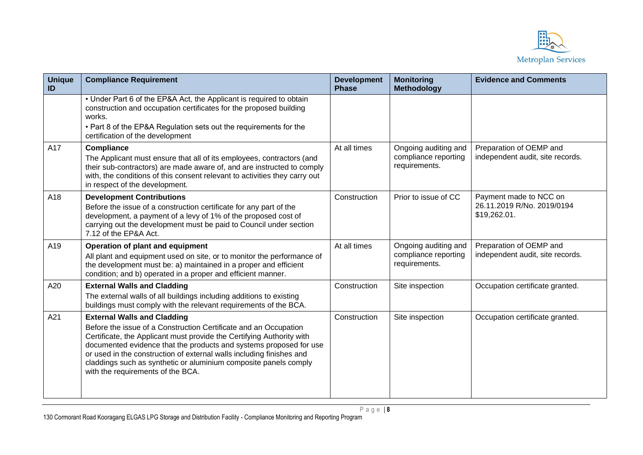

| <b>Unique</b><br>ID | <b>Compliance Requirement</b>                                                                                                                                                                                                                                                                                                                                                                                                          | <b>Development</b><br><b>Phase</b> | <b>Monitoring</b><br><b>Methodology</b>                       | <b>Evidence and Comments</b>                                         |
|---------------------|----------------------------------------------------------------------------------------------------------------------------------------------------------------------------------------------------------------------------------------------------------------------------------------------------------------------------------------------------------------------------------------------------------------------------------------|------------------------------------|---------------------------------------------------------------|----------------------------------------------------------------------|
|                     | • Under Part 6 of the EP&A Act, the Applicant is required to obtain<br>construction and occupation certificates for the proposed building<br>works.<br>• Part 8 of the EP&A Regulation sets out the requirements for the<br>certification of the development                                                                                                                                                                           |                                    |                                                               |                                                                      |
| A17                 | <b>Compliance</b><br>The Applicant must ensure that all of its employees, contractors (and<br>their sub-contractors) are made aware of, and are instructed to comply<br>with, the conditions of this consent relevant to activities they carry out<br>in respect of the development.                                                                                                                                                   | At all times                       | Ongoing auditing and<br>compliance reporting<br>requirements. | Preparation of OEMP and<br>independent audit, site records.          |
| A18                 | <b>Development Contributions</b><br>Before the issue of a construction certificate for any part of the<br>development, a payment of a levy of 1% of the proposed cost of<br>carrying out the development must be paid to Council under section<br>7.12 of the EP&A Act.                                                                                                                                                                | Construction                       | Prior to issue of CC                                          | Payment made to NCC on<br>26.11.2019 R/No. 2019/0194<br>\$19,262.01. |
| A19                 | Operation of plant and equipment<br>All plant and equipment used on site, or to monitor the performance of<br>the development must be: a) maintained in a proper and efficient<br>condition; and b) operated in a proper and efficient manner.                                                                                                                                                                                         | At all times                       | Ongoing auditing and<br>compliance reporting<br>requirements. | Preparation of OEMP and<br>independent audit, site records.          |
| A20                 | <b>External Walls and Cladding</b><br>The external walls of all buildings including additions to existing<br>buildings must comply with the relevant requirements of the BCA.                                                                                                                                                                                                                                                          | Construction                       | Site inspection                                               | Occupation certificate granted.                                      |
| A21                 | <b>External Walls and Cladding</b><br>Before the issue of a Construction Certificate and an Occupation<br>Certificate, the Applicant must provide the Certifying Authority with<br>documented evidence that the products and systems proposed for use<br>or used in the construction of external walls including finishes and<br>claddings such as synthetic or aluminium composite panels comply<br>with the requirements of the BCA. | Construction                       | Site inspection                                               | Occupation certificate granted.                                      |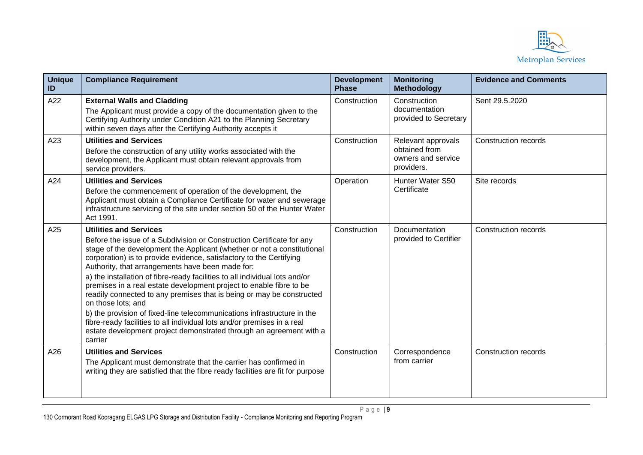

| <b>Unique</b><br>ID | <b>Compliance Requirement</b>                                                                                                                                                                                                                                                                                                                                                                                                                                                                                                                                                                                                                                                                                                                                                                             | <b>Development</b><br><b>Phase</b> | <b>Monitoring</b><br><b>Methodology</b>                                 | <b>Evidence and Comments</b> |
|---------------------|-----------------------------------------------------------------------------------------------------------------------------------------------------------------------------------------------------------------------------------------------------------------------------------------------------------------------------------------------------------------------------------------------------------------------------------------------------------------------------------------------------------------------------------------------------------------------------------------------------------------------------------------------------------------------------------------------------------------------------------------------------------------------------------------------------------|------------------------------------|-------------------------------------------------------------------------|------------------------------|
| A22                 | <b>External Walls and Cladding</b><br>The Applicant must provide a copy of the documentation given to the<br>Certifying Authority under Condition A21 to the Planning Secretary<br>within seven days after the Certifying Authority accepts it                                                                                                                                                                                                                                                                                                                                                                                                                                                                                                                                                            | Construction                       | Construction<br>documentation<br>provided to Secretary                  | Sent 29.5.2020               |
| A23                 | <b>Utilities and Services</b><br>Before the construction of any utility works associated with the<br>development, the Applicant must obtain relevant approvals from<br>service providers.                                                                                                                                                                                                                                                                                                                                                                                                                                                                                                                                                                                                                 | Construction                       | Relevant approvals<br>obtained from<br>owners and service<br>providers. | Construction records         |
| A24                 | <b>Utilities and Services</b><br>Before the commencement of operation of the development, the<br>Applicant must obtain a Compliance Certificate for water and sewerage<br>infrastructure servicing of the site under section 50 of the Hunter Water<br>Act 1991.                                                                                                                                                                                                                                                                                                                                                                                                                                                                                                                                          | Operation                          | Hunter Water S50<br>Certificate                                         | Site records                 |
| A25                 | <b>Utilities and Services</b><br>Before the issue of a Subdivision or Construction Certificate for any<br>stage of the development the Applicant (whether or not a constitutional<br>corporation) is to provide evidence, satisfactory to the Certifying<br>Authority, that arrangements have been made for:<br>a) the installation of fibre-ready facilities to all individual lots and/or<br>premises in a real estate development project to enable fibre to be<br>readily connected to any premises that is being or may be constructed<br>on those lots; and<br>b) the provision of fixed-line telecommunications infrastructure in the<br>fibre-ready facilities to all individual lots and/or premises in a real<br>estate development project demonstrated through an agreement with a<br>carrier | Construction                       | <b>Documentation</b><br>provided to Certifier                           | <b>Construction records</b>  |
| A26                 | <b>Utilities and Services</b><br>The Applicant must demonstrate that the carrier has confirmed in<br>writing they are satisfied that the fibre ready facilities are fit for purpose                                                                                                                                                                                                                                                                                                                                                                                                                                                                                                                                                                                                                       | Construction                       | Correspondence<br>from carrier                                          | <b>Construction records</b>  |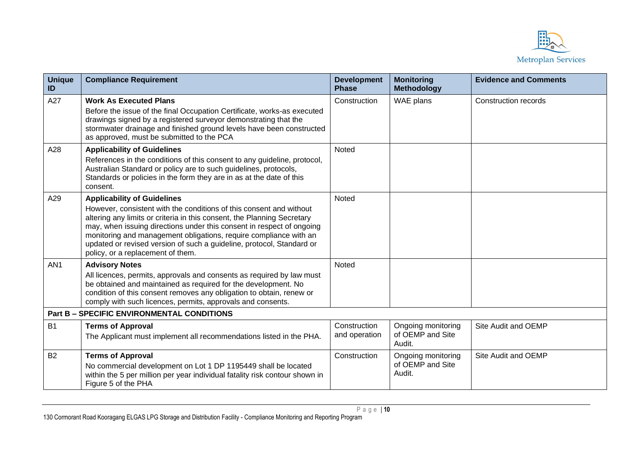

| <b>Unique</b><br>ID | <b>Compliance Requirement</b>                                                                                                                                                                                                                                                                                                                                                                                                                    | <b>Development</b><br><b>Phase</b> | <b>Monitoring</b><br><b>Methodology</b>          | <b>Evidence and Comments</b> |
|---------------------|--------------------------------------------------------------------------------------------------------------------------------------------------------------------------------------------------------------------------------------------------------------------------------------------------------------------------------------------------------------------------------------------------------------------------------------------------|------------------------------------|--------------------------------------------------|------------------------------|
| A27                 | <b>Work As Executed Plans</b><br>Before the issue of the final Occupation Certificate, works-as executed<br>drawings signed by a registered surveyor demonstrating that the<br>stormwater drainage and finished ground levels have been constructed<br>as approved, must be submitted to the PCA                                                                                                                                                 | Construction                       | WAE plans                                        | Construction records         |
| A28                 | <b>Applicability of Guidelines</b><br>References in the conditions of this consent to any guideline, protocol,<br>Australian Standard or policy are to such guidelines, protocols,<br>Standards or policies in the form they are in as at the date of this<br>consent.                                                                                                                                                                           | Noted                              |                                                  |                              |
| A29                 | <b>Applicability of Guidelines</b><br>However, consistent with the conditions of this consent and without<br>altering any limits or criteria in this consent, the Planning Secretary<br>may, when issuing directions under this consent in respect of ongoing<br>monitoring and management obligations, require compliance with an<br>updated or revised version of such a guideline, protocol, Standard or<br>policy, or a replacement of them. | Noted                              |                                                  |                              |
| AN <sub>1</sub>     | <b>Advisory Notes</b><br>All licences, permits, approvals and consents as required by law must<br>be obtained and maintained as required for the development. No<br>condition of this consent removes any obligation to obtain, renew or<br>comply with such licences, permits, approvals and consents.                                                                                                                                          | Noted                              |                                                  |                              |
|                     | <b>Part B - SPECIFIC ENVIRONMENTAL CONDITIONS</b>                                                                                                                                                                                                                                                                                                                                                                                                |                                    |                                                  |                              |
| <b>B1</b>           | <b>Terms of Approval</b><br>The Applicant must implement all recommendations listed in the PHA.                                                                                                                                                                                                                                                                                                                                                  | Construction<br>and operation      | Ongoing monitoring<br>of OEMP and Site<br>Audit. | Site Audit and OEMP          |
| <b>B2</b>           | <b>Terms of Approval</b><br>No commercial development on Lot 1 DP 1195449 shall be located<br>within the 5 per million per year individual fatality risk contour shown in<br>Figure 5 of the PHA                                                                                                                                                                                                                                                 | Construction                       | Ongoing monitoring<br>of OEMP and Site<br>Audit. | Site Audit and OEMP          |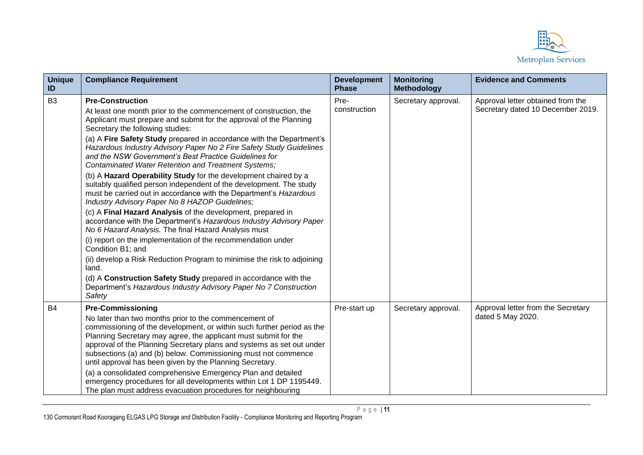

| <b>Unique</b><br>ID | <b>Compliance Requirement</b>                                                                                                                                                                                                                                                                                                                         | <b>Development</b><br><b>Phase</b> | <b>Monitoring</b><br><b>Methodology</b> | <b>Evidence and Comments</b>                                           |
|---------------------|-------------------------------------------------------------------------------------------------------------------------------------------------------------------------------------------------------------------------------------------------------------------------------------------------------------------------------------------------------|------------------------------------|-----------------------------------------|------------------------------------------------------------------------|
| B <sub>3</sub>      | <b>Pre-Construction</b><br>At least one month prior to the commencement of construction, the<br>Applicant must prepare and submit for the approval of the Planning<br>Secretary the following studies:<br>(a) A Fire Safety Study prepared in accordance with the Department's<br>Hazardous Industry Advisory Paper No 2 Fire Safety Study Guidelines | Pre-<br>construction               | Secretary approval.                     | Approval letter obtained from the<br>Secretary dated 10 December 2019. |
|                     | and the NSW Government's Best Practice Guidelines for<br>Contaminated Water Retention and Treatment Systems;                                                                                                                                                                                                                                          |                                    |                                         |                                                                        |
|                     | (b) A Hazard Operability Study for the development chaired by a<br>suitably qualified person independent of the development. The study<br>must be carried out in accordance with the Department's Hazardous<br>Industry Advisory Paper No 8 HAZOP Guidelines;                                                                                         |                                    |                                         |                                                                        |
|                     | (c) A Final Hazard Analysis of the development, prepared in<br>accordance with the Department's Hazardous Industry Advisory Paper<br>No 6 Hazard Analysis. The final Hazard Analysis must                                                                                                                                                             |                                    |                                         |                                                                        |
|                     | (i) report on the implementation of the recommendation under<br>Condition B1; and                                                                                                                                                                                                                                                                     |                                    |                                         |                                                                        |
|                     | (ii) develop a Risk Reduction Program to minimise the risk to adjoining<br>land.                                                                                                                                                                                                                                                                      |                                    |                                         |                                                                        |
|                     | (d) A Construction Safety Study prepared in accordance with the<br>Department's Hazardous Industry Advisory Paper No 7 Construction<br>Safety                                                                                                                                                                                                         |                                    |                                         |                                                                        |
| <b>B4</b>           | <b>Pre-Commissioning</b>                                                                                                                                                                                                                                                                                                                              | Pre-start up                       | Secretary approval.                     | Approval letter from the Secretary                                     |
|                     | No later than two months prior to the commencement of<br>commissioning of the development, or within such further period as the<br>Planning Secretary may agree, the applicant must submit for the<br>approval of the Planning Secretary plans and systems as set out under<br>subsections (a) and (b) below. Commissioning must not commence         |                                    |                                         | dated 5 May 2020.                                                      |
|                     | until approval has been given by the Planning Secretary.                                                                                                                                                                                                                                                                                              |                                    |                                         |                                                                        |
|                     | (a) a consolidated comprehensive Emergency Plan and detailed<br>emergency procedures for all developments within Lot 1 DP 1195449.                                                                                                                                                                                                                    |                                    |                                         |                                                                        |
|                     | The plan must address evacuation procedures for neighbouring                                                                                                                                                                                                                                                                                          |                                    |                                         |                                                                        |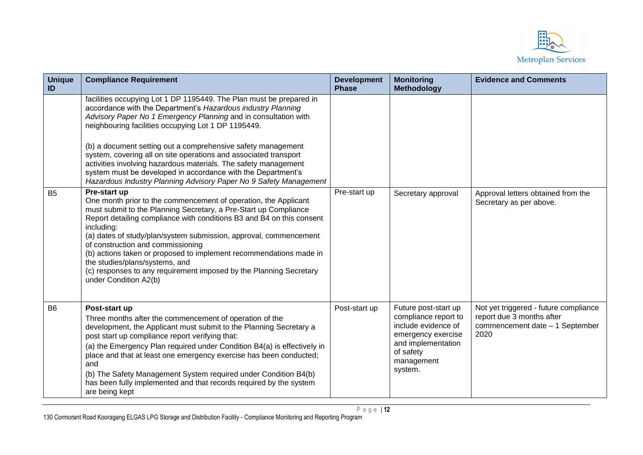

| <b>Unique</b><br>ID | <b>Compliance Requirement</b>                                                                                                                                                                                                                                                                                                                                                                                                                                                                                                                                                                             | <b>Development</b><br><b>Phase</b> | <b>Monitoring</b><br><b>Methodology</b>                                                                                                               | <b>Evidence and Comments</b>                                                                                  |
|---------------------|-----------------------------------------------------------------------------------------------------------------------------------------------------------------------------------------------------------------------------------------------------------------------------------------------------------------------------------------------------------------------------------------------------------------------------------------------------------------------------------------------------------------------------------------------------------------------------------------------------------|------------------------------------|-------------------------------------------------------------------------------------------------------------------------------------------------------|---------------------------------------------------------------------------------------------------------------|
|                     | facilities occupying Lot 1 DP 1195449. The Plan must be prepared in<br>accordance with the Department's Hazardous industry Planning<br>Advisory Paper No 1 Emergency Planning and in consultation with<br>neighbouring facilities occupying Lot 1 DP 1195449.<br>(b) a document setting out a comprehensive safety management<br>system, covering all on site operations and associated transport<br>activities involving hazardous materials. The safety management<br>system must be developed in accordance with the Department's<br>Hazardous Industry Planning Advisory Paper No 9 Safety Management |                                    |                                                                                                                                                       |                                                                                                               |
| <b>B5</b>           | Pre-start up<br>One month prior to the commencement of operation, the Applicant<br>must submit to the Planning Secretary, a Pre-Start up Compliance<br>Report detailing compliance with conditions B3 and B4 on this consent<br>including:<br>(a) dates of study/plan/system submission, approval, commencement<br>of construction and commissioning<br>(b) actions taken or proposed to implement recommendations made in<br>the studies/plans/systems, and<br>(c) responses to any requirement imposed by the Planning Secretary<br>under Condition A2(b)                                               | Pre-start up                       | Secretary approval                                                                                                                                    | Approval letters obtained from the<br>Secretary as per above.                                                 |
| <b>B6</b>           | Post-start up<br>Three months after the commencement of operation of the<br>development, the Applicant must submit to the Planning Secretary a<br>post start up compliance report verifying that:<br>(a) the Emergency Plan required under Condition B4(a) is effectively in<br>place and that at least one emergency exercise has been conducted;<br>and<br>(b) The Safety Management System required under Condition B4(b)<br>has been fully implemented and that records required by the system<br>are being kept                                                                                      | Post-start up                      | Future post-start up<br>compliance report to<br>include evidence of<br>emergency exercise<br>and implementation<br>of safety<br>management<br>system. | Not yet triggered - future compliance<br>report due 3 months after<br>commencement date - 1 September<br>2020 |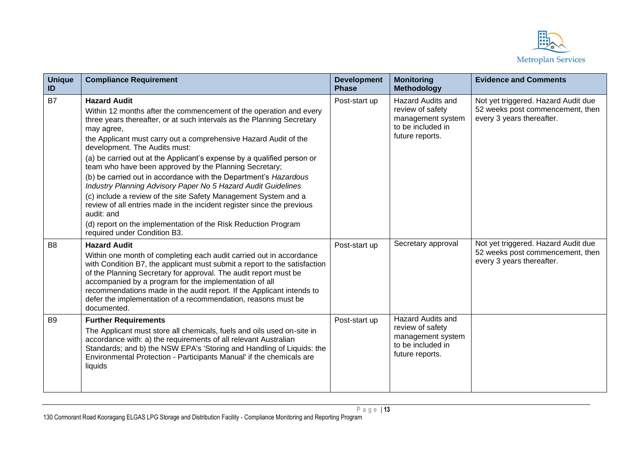

| <b>Unique</b><br>ID | <b>Compliance Requirement</b>                                                                                                                                                                                                                                                                                                                                                                                                                                                                                                                                                                                                                                                                                                                                                                                                | <b>Development</b><br><b>Phase</b> | <b>Monitoring</b><br>Methodology                                                                          | <b>Evidence and Comments</b>                                                                         |
|---------------------|------------------------------------------------------------------------------------------------------------------------------------------------------------------------------------------------------------------------------------------------------------------------------------------------------------------------------------------------------------------------------------------------------------------------------------------------------------------------------------------------------------------------------------------------------------------------------------------------------------------------------------------------------------------------------------------------------------------------------------------------------------------------------------------------------------------------------|------------------------------------|-----------------------------------------------------------------------------------------------------------|------------------------------------------------------------------------------------------------------|
| <b>B7</b>           | <b>Hazard Audit</b><br>Within 12 months after the commencement of the operation and every<br>three years thereafter, or at such intervals as the Planning Secretary<br>may agree,<br>the Applicant must carry out a comprehensive Hazard Audit of the<br>development. The Audits must:<br>(a) be carried out at the Applicant's expense by a qualified person or<br>team who have been approved by the Planning Secretary;<br>(b) be carried out in accordance with the Department's Hazardous<br>Industry Planning Advisory Paper No 5 Hazard Audit Guidelines<br>(c) include a review of the site Safety Management System and a<br>review of all entries made in the incident register since the previous<br>audit: and<br>(d) report on the implementation of the Risk Reduction Program<br>required under Condition B3. | Post-start up                      | <b>Hazard Audits and</b><br>review of safety<br>management system<br>to be included in<br>future reports. | Not yet triggered. Hazard Audit due<br>52 weeks post commencement, then<br>every 3 years thereafter. |
| B <sub>8</sub>      | <b>Hazard Audit</b><br>Within one month of completing each audit carried out in accordance<br>with Condition B7, the applicant must submit a report to the satisfaction<br>of the Planning Secretary for approval. The audit report must be<br>accompanied by a program for the implementation of all<br>recommendations made in the audit report. If the Applicant intends to<br>defer the implementation of a recommendation, reasons must be<br>documented.                                                                                                                                                                                                                                                                                                                                                               | Post-start up                      | Secretary approval                                                                                        | Not yet triggered. Hazard Audit due<br>52 weeks post commencement, then<br>every 3 years thereafter. |
| B <sub>9</sub>      | <b>Further Requirements</b><br>The Applicant must store all chemicals, fuels and oils used on-site in<br>accordance with: a) the requirements of all relevant Australian<br>Standards; and b) the NSW EPA's 'Storing and Handling of Liquids: the<br>Environmental Protection - Participants Manual' if the chemicals are<br>liquids                                                                                                                                                                                                                                                                                                                                                                                                                                                                                         | Post-start up                      | <b>Hazard Audits and</b><br>review of safety<br>management system<br>to be included in<br>future reports. |                                                                                                      |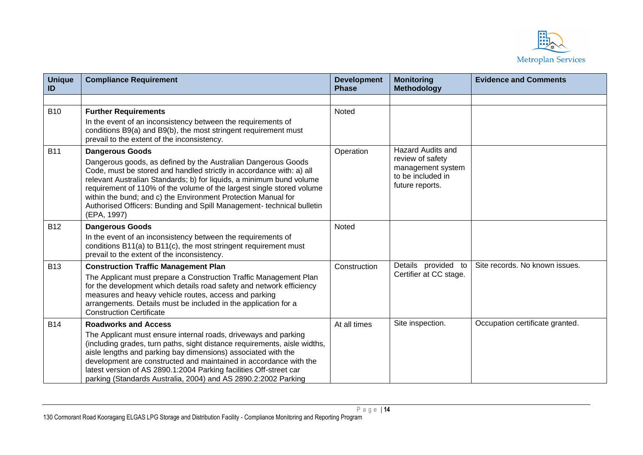

| <b>Unique</b><br>ID | <b>Compliance Requirement</b>                                                                                                                                                                                                                                                                                                                                                                                                                   | <b>Development</b><br><b>Phase</b> | <b>Monitoring</b><br><b>Methodology</b>                   | <b>Evidence and Comments</b>    |
|---------------------|-------------------------------------------------------------------------------------------------------------------------------------------------------------------------------------------------------------------------------------------------------------------------------------------------------------------------------------------------------------------------------------------------------------------------------------------------|------------------------------------|-----------------------------------------------------------|---------------------------------|
|                     |                                                                                                                                                                                                                                                                                                                                                                                                                                                 |                                    |                                                           |                                 |
| <b>B10</b>          | <b>Further Requirements</b><br>In the event of an inconsistency between the requirements of<br>conditions B9(a) and B9(b), the most stringent requirement must<br>prevail to the extent of the inconsistency.                                                                                                                                                                                                                                   | Noted                              |                                                           |                                 |
| <b>B11</b>          | <b>Dangerous Goods</b>                                                                                                                                                                                                                                                                                                                                                                                                                          | Operation                          | <b>Hazard Audits and</b><br>review of safety              |                                 |
|                     | Dangerous goods, as defined by the Australian Dangerous Goods<br>Code, must be stored and handled strictly in accordance with: a) all<br>relevant Australian Standards; b) for liquids, a minimum bund volume<br>requirement of 110% of the volume of the largest single stored volume<br>within the bund; and c) the Environment Protection Manual for<br>Authorised Officers: Bunding and Spill Management- technical bulletin<br>(EPA, 1997) |                                    | management system<br>to be included in<br>future reports. |                                 |
| <b>B12</b>          | <b>Dangerous Goods</b>                                                                                                                                                                                                                                                                                                                                                                                                                          | <b>Noted</b>                       |                                                           |                                 |
|                     | In the event of an inconsistency between the requirements of<br>conditions B11(a) to B11(c), the most stringent requirement must<br>prevail to the extent of the inconsistency.                                                                                                                                                                                                                                                                 |                                    |                                                           |                                 |
| <b>B13</b>          | <b>Construction Traffic Management Plan</b>                                                                                                                                                                                                                                                                                                                                                                                                     | Construction                       | Details provided to                                       | Site records. No known issues.  |
|                     | The Applicant must prepare a Construction Traffic Management Plan<br>for the development which details road safety and network efficiency<br>measures and heavy vehicle routes, access and parking<br>arrangements. Details must be included in the application for a<br><b>Construction Certificate</b>                                                                                                                                        |                                    | Certifier at CC stage.                                    |                                 |
| <b>B14</b>          | <b>Roadworks and Access</b>                                                                                                                                                                                                                                                                                                                                                                                                                     | At all times                       | Site inspection.                                          | Occupation certificate granted. |
|                     | The Applicant must ensure internal roads, driveways and parking<br>(including grades, turn paths, sight distance requirements, aisle widths,<br>aisle lengths and parking bay dimensions) associated with the<br>development are constructed and maintained in accordance with the<br>latest version of AS 2890.1:2004 Parking facilities Off-street car<br>parking (Standards Australia, 2004) and AS 2890.2:2002 Parking                      |                                    |                                                           |                                 |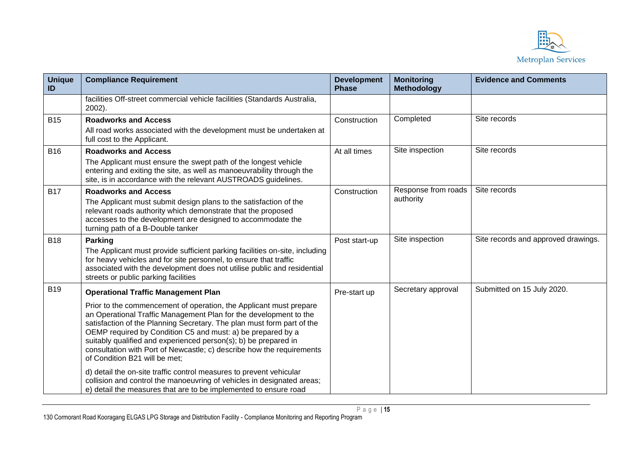

| <b>Unique</b><br>ID | <b>Compliance Requirement</b>                                                                                                                                                                                                                                                                                                                                                                                                                                 | <b>Development</b><br><b>Phase</b> | <b>Monitoring</b><br><b>Methodology</b> | <b>Evidence and Comments</b>        |
|---------------------|---------------------------------------------------------------------------------------------------------------------------------------------------------------------------------------------------------------------------------------------------------------------------------------------------------------------------------------------------------------------------------------------------------------------------------------------------------------|------------------------------------|-----------------------------------------|-------------------------------------|
|                     | facilities Off-street commercial vehicle facilities (Standards Australia,<br>2002).                                                                                                                                                                                                                                                                                                                                                                           |                                    |                                         |                                     |
| <b>B15</b>          | <b>Roadworks and Access</b><br>All road works associated with the development must be undertaken at<br>full cost to the Applicant.                                                                                                                                                                                                                                                                                                                            | Construction                       | Completed                               | Site records                        |
| <b>B16</b>          | <b>Roadworks and Access</b><br>The Applicant must ensure the swept path of the longest vehicle<br>entering and exiting the site, as well as manoeuvrability through the<br>site, is in accordance with the relevant AUSTROADS guidelines.                                                                                                                                                                                                                     | At all times                       | Site inspection                         | Site records                        |
| <b>B17</b>          | <b>Roadworks and Access</b><br>The Applicant must submit design plans to the satisfaction of the<br>relevant roads authority which demonstrate that the proposed<br>accesses to the development are designed to accommodate the<br>turning path of a B-Double tanker                                                                                                                                                                                          | Construction                       | Response from roads<br>authority        | Site records                        |
| <b>B18</b>          | <b>Parking</b><br>The Applicant must provide sufficient parking facilities on-site, including<br>for heavy vehicles and for site personnel, to ensure that traffic<br>associated with the development does not utilise public and residential<br>streets or public parking facilities                                                                                                                                                                         | Post start-up                      | Site inspection                         | Site records and approved drawings. |
| <b>B19</b>          | <b>Operational Traffic Management Plan</b>                                                                                                                                                                                                                                                                                                                                                                                                                    | Pre-start up                       | Secretary approval                      | Submitted on 15 July 2020.          |
|                     | Prior to the commencement of operation, the Applicant must prepare<br>an Operational Traffic Management Plan for the development to the<br>satisfaction of the Planning Secretary. The plan must form part of the<br>OEMP required by Condition C5 and must: a) be prepared by a<br>suitably qualified and experienced person(s); b) be prepared in<br>consultation with Port of Newcastle; c) describe how the requirements<br>of Condition B21 will be met; |                                    |                                         |                                     |
|                     | d) detail the on-site traffic control measures to prevent vehicular<br>collision and control the manoeuvring of vehicles in designated areas;<br>e) detail the measures that are to be implemented to ensure road                                                                                                                                                                                                                                             |                                    |                                         |                                     |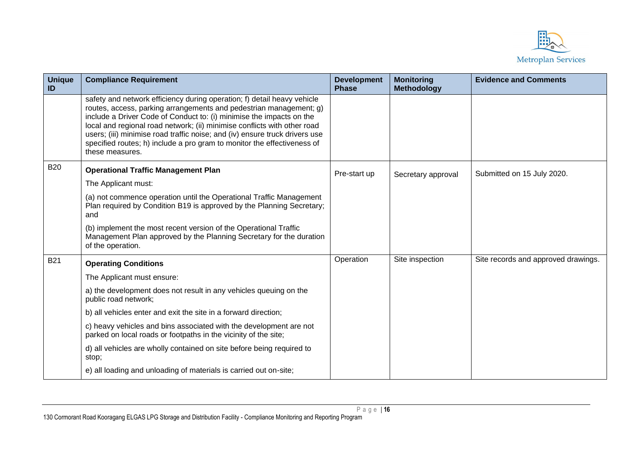

| <b>Unique</b><br>ID | <b>Compliance Requirement</b>                                                                                                                                                                                                                                                                                                                                                                                                                                                  | <b>Development</b><br><b>Phase</b> | <b>Monitoring</b><br><b>Methodology</b> | <b>Evidence and Comments</b>        |
|---------------------|--------------------------------------------------------------------------------------------------------------------------------------------------------------------------------------------------------------------------------------------------------------------------------------------------------------------------------------------------------------------------------------------------------------------------------------------------------------------------------|------------------------------------|-----------------------------------------|-------------------------------------|
|                     | safety and network efficiency during operation; f) detail heavy vehicle<br>routes, access, parking arrangements and pedestrian management; g)<br>include a Driver Code of Conduct to: (i) minimise the impacts on the<br>local and regional road network; (ii) minimise conflicts with other road<br>users; (iii) minimise road traffic noise; and (iv) ensure truck drivers use<br>specified routes; h) include a pro gram to monitor the effectiveness of<br>these measures. |                                    |                                         |                                     |
| <b>B20</b>          | <b>Operational Traffic Management Plan</b>                                                                                                                                                                                                                                                                                                                                                                                                                                     | Pre-start up                       | Secretary approval                      | Submitted on 15 July 2020.          |
|                     | The Applicant must:                                                                                                                                                                                                                                                                                                                                                                                                                                                            |                                    |                                         |                                     |
|                     | (a) not commence operation until the Operational Traffic Management<br>Plan required by Condition B19 is approved by the Planning Secretary;<br>and                                                                                                                                                                                                                                                                                                                            |                                    |                                         |                                     |
|                     | (b) implement the most recent version of the Operational Traffic<br>Management Plan approved by the Planning Secretary for the duration<br>of the operation.                                                                                                                                                                                                                                                                                                                   |                                    |                                         |                                     |
| <b>B21</b>          | <b>Operating Conditions</b>                                                                                                                                                                                                                                                                                                                                                                                                                                                    | Operation                          | Site inspection                         | Site records and approved drawings. |
|                     | The Applicant must ensure:                                                                                                                                                                                                                                                                                                                                                                                                                                                     |                                    |                                         |                                     |
|                     | a) the development does not result in any vehicles queuing on the<br>public road network;                                                                                                                                                                                                                                                                                                                                                                                      |                                    |                                         |                                     |
|                     | b) all vehicles enter and exit the site in a forward direction;                                                                                                                                                                                                                                                                                                                                                                                                                |                                    |                                         |                                     |
|                     | c) heavy vehicles and bins associated with the development are not<br>parked on local roads or footpaths in the vicinity of the site;                                                                                                                                                                                                                                                                                                                                          |                                    |                                         |                                     |
|                     | d) all vehicles are wholly contained on site before being required to<br>stop;                                                                                                                                                                                                                                                                                                                                                                                                 |                                    |                                         |                                     |
|                     | e) all loading and unloading of materials is carried out on-site;                                                                                                                                                                                                                                                                                                                                                                                                              |                                    |                                         |                                     |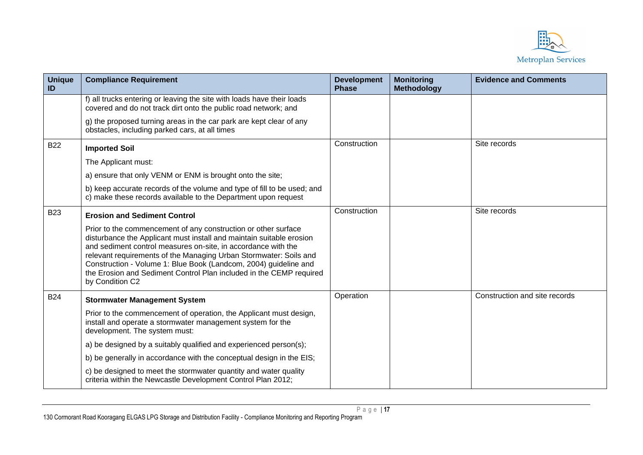

| <b>Unique</b><br>ID | <b>Compliance Requirement</b>                                                                                                                                                                                                                                                                                                                                                                                                              | <b>Development</b><br><b>Phase</b> | <b>Monitoring</b><br><b>Methodology</b> | <b>Evidence and Comments</b>  |
|---------------------|--------------------------------------------------------------------------------------------------------------------------------------------------------------------------------------------------------------------------------------------------------------------------------------------------------------------------------------------------------------------------------------------------------------------------------------------|------------------------------------|-----------------------------------------|-------------------------------|
|                     | f) all trucks entering or leaving the site with loads have their loads<br>covered and do not track dirt onto the public road network; and                                                                                                                                                                                                                                                                                                  |                                    |                                         |                               |
|                     | g) the proposed turning areas in the car park are kept clear of any<br>obstacles, including parked cars, at all times                                                                                                                                                                                                                                                                                                                      |                                    |                                         |                               |
| <b>B22</b>          | <b>Imported Soil</b>                                                                                                                                                                                                                                                                                                                                                                                                                       | Construction                       |                                         | Site records                  |
|                     | The Applicant must:                                                                                                                                                                                                                                                                                                                                                                                                                        |                                    |                                         |                               |
|                     | a) ensure that only VENM or ENM is brought onto the site;                                                                                                                                                                                                                                                                                                                                                                                  |                                    |                                         |                               |
|                     | b) keep accurate records of the volume and type of fill to be used; and<br>c) make these records available to the Department upon request                                                                                                                                                                                                                                                                                                  |                                    |                                         |                               |
| <b>B23</b>          | <b>Erosion and Sediment Control</b>                                                                                                                                                                                                                                                                                                                                                                                                        | Construction                       |                                         | Site records                  |
|                     | Prior to the commencement of any construction or other surface<br>disturbance the Applicant must install and maintain suitable erosion<br>and sediment control measures on-site, in accordance with the<br>relevant requirements of the Managing Urban Stormwater: Soils and<br>Construction - Volume 1: Blue Book (Landcom, 2004) guideline and<br>the Erosion and Sediment Control Plan included in the CEMP required<br>by Condition C2 |                                    |                                         |                               |
| <b>B24</b>          | <b>Stormwater Management System</b>                                                                                                                                                                                                                                                                                                                                                                                                        | Operation                          |                                         | Construction and site records |
|                     | Prior to the commencement of operation, the Applicant must design,<br>install and operate a stormwater management system for the<br>development. The system must:                                                                                                                                                                                                                                                                          |                                    |                                         |                               |
|                     | a) be designed by a suitably qualified and experienced person(s);                                                                                                                                                                                                                                                                                                                                                                          |                                    |                                         |                               |
|                     | b) be generally in accordance with the conceptual design in the EIS;                                                                                                                                                                                                                                                                                                                                                                       |                                    |                                         |                               |
|                     | c) be designed to meet the stormwater quantity and water quality<br>criteria within the Newcastle Development Control Plan 2012;                                                                                                                                                                                                                                                                                                           |                                    |                                         |                               |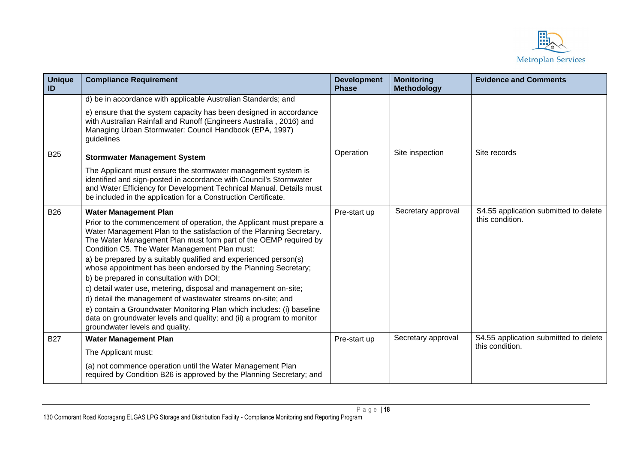

| <b>Unique</b><br>ID | <b>Compliance Requirement</b>                                                                                                                                                                                                                                                                                                                                                                                                                                                                                                                                                                                                                                                                                                                                                                              | <b>Development</b><br><b>Phase</b> | <b>Monitoring</b><br><b>Methodology</b> | <b>Evidence and Comments</b>                             |
|---------------------|------------------------------------------------------------------------------------------------------------------------------------------------------------------------------------------------------------------------------------------------------------------------------------------------------------------------------------------------------------------------------------------------------------------------------------------------------------------------------------------------------------------------------------------------------------------------------------------------------------------------------------------------------------------------------------------------------------------------------------------------------------------------------------------------------------|------------------------------------|-----------------------------------------|----------------------------------------------------------|
|                     | d) be in accordance with applicable Australian Standards; and                                                                                                                                                                                                                                                                                                                                                                                                                                                                                                                                                                                                                                                                                                                                              |                                    |                                         |                                                          |
|                     | e) ensure that the system capacity has been designed in accordance<br>with Australian Rainfall and Runoff (Engineers Australia, 2016) and<br>Managing Urban Stormwater: Council Handbook (EPA, 1997)<br>guidelines                                                                                                                                                                                                                                                                                                                                                                                                                                                                                                                                                                                         |                                    |                                         |                                                          |
| <b>B25</b>          | <b>Stormwater Management System</b>                                                                                                                                                                                                                                                                                                                                                                                                                                                                                                                                                                                                                                                                                                                                                                        | Operation                          | Site inspection                         | Site records                                             |
|                     | The Applicant must ensure the stormwater management system is<br>identified and sign-posted in accordance with Council's Stormwater<br>and Water Efficiency for Development Technical Manual. Details must<br>be included in the application for a Construction Certificate.                                                                                                                                                                                                                                                                                                                                                                                                                                                                                                                               |                                    |                                         |                                                          |
| <b>B26</b>          | <b>Water Management Plan</b><br>Prior to the commencement of operation, the Applicant must prepare a<br>Water Management Plan to the satisfaction of the Planning Secretary.<br>The Water Management Plan must form part of the OEMP required by<br>Condition C5. The Water Management Plan must:<br>a) be prepared by a suitably qualified and experienced person(s)<br>whose appointment has been endorsed by the Planning Secretary;<br>b) be prepared in consultation with DOI;<br>c) detail water use, metering, disposal and management on-site;<br>d) detail the management of wastewater streams on-site; and<br>e) contain a Groundwater Monitoring Plan which includes: (i) baseline<br>data on groundwater levels and quality; and (ii) a program to monitor<br>groundwater levels and quality. | Pre-start up                       | Secretary approval                      | S4.55 application submitted to delete<br>this condition. |
| <b>B27</b>          | <b>Water Management Plan</b>                                                                                                                                                                                                                                                                                                                                                                                                                                                                                                                                                                                                                                                                                                                                                                               | Pre-start up                       | Secretary approval                      | S4.55 application submitted to delete<br>this condition. |
|                     | The Applicant must:                                                                                                                                                                                                                                                                                                                                                                                                                                                                                                                                                                                                                                                                                                                                                                                        |                                    |                                         |                                                          |
|                     | (a) not commence operation until the Water Management Plan<br>required by Condition B26 is approved by the Planning Secretary; and                                                                                                                                                                                                                                                                                                                                                                                                                                                                                                                                                                                                                                                                         |                                    |                                         |                                                          |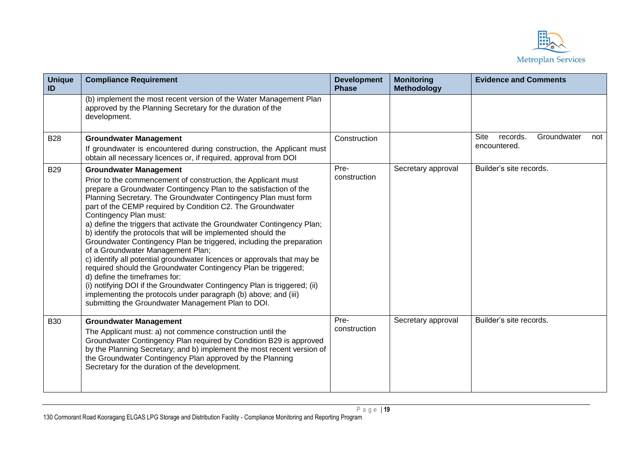

| <b>Unique</b><br>ID | <b>Compliance Requirement</b>                                                                                                                                                                                                                                                                                                                                                                                                                                                                                                                                                                                                                                                                                                                                                                                                                                                                                                                                            | <b>Development</b><br><b>Phase</b> | <b>Monitoring</b><br><b>Methodology</b> | <b>Evidence and Comments</b>                                  |
|---------------------|--------------------------------------------------------------------------------------------------------------------------------------------------------------------------------------------------------------------------------------------------------------------------------------------------------------------------------------------------------------------------------------------------------------------------------------------------------------------------------------------------------------------------------------------------------------------------------------------------------------------------------------------------------------------------------------------------------------------------------------------------------------------------------------------------------------------------------------------------------------------------------------------------------------------------------------------------------------------------|------------------------------------|-----------------------------------------|---------------------------------------------------------------|
|                     | (b) implement the most recent version of the Water Management Plan<br>approved by the Planning Secretary for the duration of the<br>development.                                                                                                                                                                                                                                                                                                                                                                                                                                                                                                                                                                                                                                                                                                                                                                                                                         |                                    |                                         |                                                               |
| <b>B28</b>          | <b>Groundwater Management</b><br>If groundwater is encountered during construction, the Applicant must<br>obtain all necessary licences or, if required, approval from DOI                                                                                                                                                                                                                                                                                                                                                                                                                                                                                                                                                                                                                                                                                                                                                                                               | Construction                       |                                         | <b>Site</b><br>Groundwater<br>records.<br>not<br>encountered. |
| <b>B29</b>          | <b>Groundwater Management</b><br>Prior to the commencement of construction, the Applicant must<br>prepare a Groundwater Contingency Plan to the satisfaction of the<br>Planning Secretary. The Groundwater Contingency Plan must form<br>part of the CEMP required by Condition C2. The Groundwater<br>Contingency Plan must:<br>a) define the triggers that activate the Groundwater Contingency Plan;<br>b) identify the protocols that will be implemented should the<br>Groundwater Contingency Plan be triggered, including the preparation<br>of a Groundwater Management Plan;<br>c) identify all potential groundwater licences or approvals that may be<br>required should the Groundwater Contingency Plan be triggered;<br>d) define the timeframes for:<br>(i) notifying DOI if the Groundwater Contingency Plan is triggered; (ii)<br>implementing the protocols under paragraph (b) above; and (iii)<br>submitting the Groundwater Management Plan to DOI. | Pre-<br>construction               | Secretary approval                      | Builder's site records.                                       |
| <b>B30</b>          | <b>Groundwater Management</b><br>The Applicant must: a) not commence construction until the<br>Groundwater Contingency Plan required by Condition B29 is approved<br>by the Planning Secretary; and b) implement the most recent version of<br>the Groundwater Contingency Plan approved by the Planning<br>Secretary for the duration of the development.                                                                                                                                                                                                                                                                                                                                                                                                                                                                                                                                                                                                               | Pre-<br>construction               | Secretary approval                      | Builder's site records.                                       |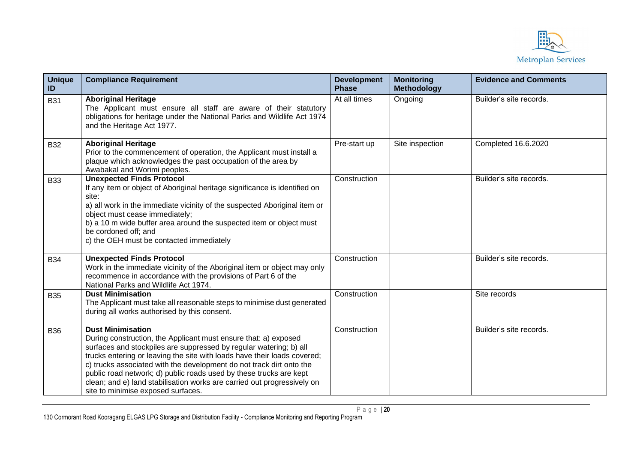

| <b>Unique</b><br>ID | <b>Compliance Requirement</b>                                                                                                                                                                                                                                                                                                                                                                                                                                                                                | <b>Development</b><br><b>Phase</b> | <b>Monitoring</b><br><b>Methodology</b> | <b>Evidence and Comments</b> |
|---------------------|--------------------------------------------------------------------------------------------------------------------------------------------------------------------------------------------------------------------------------------------------------------------------------------------------------------------------------------------------------------------------------------------------------------------------------------------------------------------------------------------------------------|------------------------------------|-----------------------------------------|------------------------------|
| <b>B31</b>          | <b>Aboriginal Heritage</b><br>The Applicant must ensure all staff are aware of their statutory<br>obligations for heritage under the National Parks and Wildlife Act 1974<br>and the Heritage Act 1977.                                                                                                                                                                                                                                                                                                      | At all times                       | Ongoing                                 | Builder's site records.      |
| <b>B32</b>          | <b>Aboriginal Heritage</b><br>Prior to the commencement of operation, the Applicant must install a<br>plaque which acknowledges the past occupation of the area by<br>Awabakal and Worimi peoples.                                                                                                                                                                                                                                                                                                           | Pre-start up                       | Site inspection                         | Completed 16.6.2020          |
| <b>B33</b>          | <b>Unexpected Finds Protocol</b><br>If any item or object of Aboriginal heritage significance is identified on<br>site:<br>a) all work in the immediate vicinity of the suspected Aboriginal item or<br>object must cease immediately;<br>b) a 10 m wide buffer area around the suspected item or object must<br>be cordoned off; and<br>c) the OEH must be contacted immediately                                                                                                                            | Construction                       |                                         | Builder's site records.      |
| <b>B34</b>          | <b>Unexpected Finds Protocol</b><br>Work in the immediate vicinity of the Aboriginal item or object may only<br>recommence in accordance with the provisions of Part 6 of the<br>National Parks and Wildlife Act 1974.                                                                                                                                                                                                                                                                                       | Construction                       |                                         | Builder's site records.      |
| <b>B35</b>          | <b>Dust Minimisation</b><br>The Applicant must take all reasonable steps to minimise dust generated<br>during all works authorised by this consent.                                                                                                                                                                                                                                                                                                                                                          | Construction                       |                                         | Site records                 |
| <b>B36</b>          | <b>Dust Minimisation</b><br>During construction, the Applicant must ensure that: a) exposed<br>surfaces and stockpiles are suppressed by regular watering; b) all<br>trucks entering or leaving the site with loads have their loads covered;<br>c) trucks associated with the development do not track dirt onto the<br>public road network; d) public roads used by these trucks are kept<br>clean; and e) land stabilisation works are carried out progressively on<br>site to minimise exposed surfaces. | Construction                       |                                         | Builder's site records.      |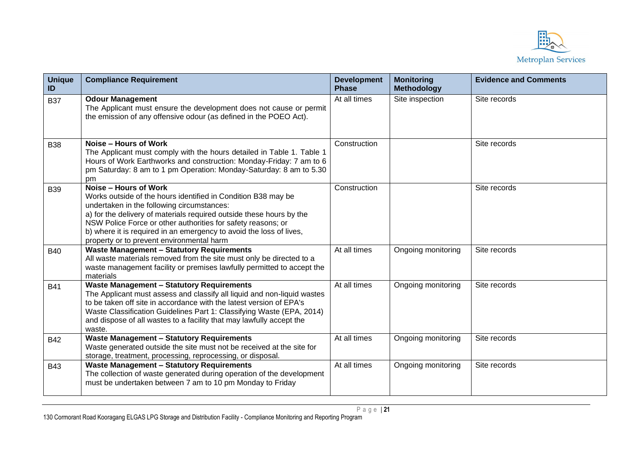

| <b>Unique</b><br>ID | <b>Compliance Requirement</b>                                                                                                                                                                                                                                                                                                                                                                    | <b>Development</b><br><b>Phase</b> | <b>Monitoring</b><br><b>Methodology</b> | <b>Evidence and Comments</b> |
|---------------------|--------------------------------------------------------------------------------------------------------------------------------------------------------------------------------------------------------------------------------------------------------------------------------------------------------------------------------------------------------------------------------------------------|------------------------------------|-----------------------------------------|------------------------------|
| <b>B37</b>          | <b>Odour Management</b><br>The Applicant must ensure the development does not cause or permit<br>the emission of any offensive odour (as defined in the POEO Act).                                                                                                                                                                                                                               | At all times                       | Site inspection                         | Site records                 |
| <b>B38</b>          | Noise – Hours of Work<br>The Applicant must comply with the hours detailed in Table 1. Table 1<br>Hours of Work Earthworks and construction: Monday-Friday: 7 am to 6<br>pm Saturday: 8 am to 1 pm Operation: Monday-Saturday: 8 am to 5.30<br>pm                                                                                                                                                | Construction                       |                                         | Site records                 |
| <b>B39</b>          | Noise - Hours of Work<br>Works outside of the hours identified in Condition B38 may be<br>undertaken in the following circumstances:<br>a) for the delivery of materials required outside these hours by the<br>NSW Police Force or other authorities for safety reasons; or<br>b) where it is required in an emergency to avoid the loss of lives,<br>property or to prevent environmental harm | Construction                       |                                         | Site records                 |
| <b>B40</b>          | <b>Waste Management - Statutory Requirements</b><br>All waste materials removed from the site must only be directed to a<br>waste management facility or premises lawfully permitted to accept the<br>materials                                                                                                                                                                                  | At all times                       | Ongoing monitoring                      | Site records                 |
| <b>B41</b>          | <b>Waste Management - Statutory Requirements</b><br>The Applicant must assess and classify all liquid and non-liquid wastes<br>to be taken off site in accordance with the latest version of EPA's<br>Waste Classification Guidelines Part 1: Classifying Waste (EPA, 2014)<br>and dispose of all wastes to a facility that may lawfully accept the<br>waste.                                    | At all times                       | Ongoing monitoring                      | Site records                 |
| <b>B42</b>          | <b>Waste Management - Statutory Requirements</b><br>Waste generated outside the site must not be received at the site for<br>storage, treatment, processing, reprocessing, or disposal.                                                                                                                                                                                                          | At all times                       | Ongoing monitoring                      | Site records                 |
| <b>B43</b>          | <b>Waste Management - Statutory Requirements</b><br>The collection of waste generated during operation of the development<br>must be undertaken between 7 am to 10 pm Monday to Friday                                                                                                                                                                                                           | At all times                       | Ongoing monitoring                      | Site records                 |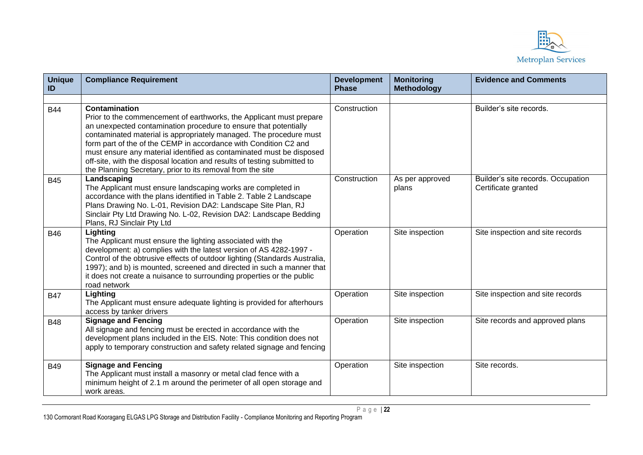

| <b>Unique</b><br>ID | <b>Compliance Requirement</b>                                                                                                                                                                                                                                                                                                                                                                                                                                                                                        | <b>Development</b><br><b>Phase</b> | <b>Monitoring</b><br><b>Methodology</b> | <b>Evidence and Comments</b>                              |
|---------------------|----------------------------------------------------------------------------------------------------------------------------------------------------------------------------------------------------------------------------------------------------------------------------------------------------------------------------------------------------------------------------------------------------------------------------------------------------------------------------------------------------------------------|------------------------------------|-----------------------------------------|-----------------------------------------------------------|
|                     |                                                                                                                                                                                                                                                                                                                                                                                                                                                                                                                      |                                    |                                         |                                                           |
| <b>B44</b>          | Contamination<br>Prior to the commencement of earthworks, the Applicant must prepare<br>an unexpected contamination procedure to ensure that potentially<br>contaminated material is appropriately managed. The procedure must<br>form part of the of the CEMP in accordance with Condition C2 and<br>must ensure any material identified as contaminated must be disposed<br>off-site, with the disposal location and results of testing submitted to<br>the Planning Secretary, prior to its removal from the site | Construction                       |                                         | Builder's site records.                                   |
| <b>B45</b>          | Landscaping<br>The Applicant must ensure landscaping works are completed in<br>accordance with the plans identified in Table 2. Table 2 Landscape<br>Plans Drawing No. L-01, Revision DA2: Landscape Site Plan, RJ<br>Sinclair Pty Ltd Drawing No. L-02, Revision DA2: Landscape Bedding<br>Plans, RJ Sinclair Pty Ltd                                                                                                                                                                                               | Construction                       | As per approved<br>plans                | Builder's site records. Occupation<br>Certificate granted |
| <b>B46</b>          | Lighting<br>The Applicant must ensure the lighting associated with the<br>development: a) complies with the latest version of AS 4282-1997 -<br>Control of the obtrusive effects of outdoor lighting (Standards Australia,<br>1997); and b) is mounted, screened and directed in such a manner that<br>it does not create a nuisance to surrounding properties or the public<br>road network                                                                                                                         | Operation                          | Site inspection                         | Site inspection and site records                          |
| <b>B47</b>          | Lighting<br>The Applicant must ensure adequate lighting is provided for afterhours<br>access by tanker drivers                                                                                                                                                                                                                                                                                                                                                                                                       | Operation                          | Site inspection                         | Site inspection and site records                          |
| <b>B48</b>          | <b>Signage and Fencing</b><br>All signage and fencing must be erected in accordance with the<br>development plans included in the EIS. Note: This condition does not<br>apply to temporary construction and safety related signage and fencing                                                                                                                                                                                                                                                                       | Operation                          | Site inspection                         | Site records and approved plans                           |
| <b>B49</b>          | <b>Signage and Fencing</b><br>The Applicant must install a masonry or metal clad fence with a<br>minimum height of 2.1 m around the perimeter of all open storage and<br>work areas.                                                                                                                                                                                                                                                                                                                                 | Operation                          | Site inspection                         | Site records.                                             |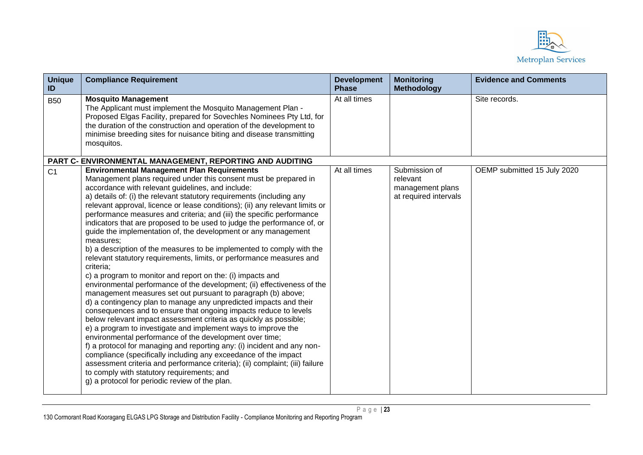

| <b>Unique</b><br>ID | <b>Compliance Requirement</b>                                                                                                                                                                                                                                                                                                                                                                                                                                                                                                                                                                                                                                                                                                                                                                                                                                                                                                                                                                                                                                                                                                                                                                                                                                                                                                                                                                                                                                                                                                                                                                                         | <b>Development</b><br><b>Phase</b> | <b>Monitoring</b><br><b>Methodology</b>                                | <b>Evidence and Comments</b> |
|---------------------|-----------------------------------------------------------------------------------------------------------------------------------------------------------------------------------------------------------------------------------------------------------------------------------------------------------------------------------------------------------------------------------------------------------------------------------------------------------------------------------------------------------------------------------------------------------------------------------------------------------------------------------------------------------------------------------------------------------------------------------------------------------------------------------------------------------------------------------------------------------------------------------------------------------------------------------------------------------------------------------------------------------------------------------------------------------------------------------------------------------------------------------------------------------------------------------------------------------------------------------------------------------------------------------------------------------------------------------------------------------------------------------------------------------------------------------------------------------------------------------------------------------------------------------------------------------------------------------------------------------------------|------------------------------------|------------------------------------------------------------------------|------------------------------|
| <b>B50</b>          | <b>Mosquito Management</b><br>The Applicant must implement the Mosquito Management Plan -<br>Proposed Elgas Facility, prepared for Sovechles Nominees Pty Ltd, for<br>the duration of the construction and operation of the development to<br>minimise breeding sites for nuisance biting and disease transmitting<br>mosquitos.                                                                                                                                                                                                                                                                                                                                                                                                                                                                                                                                                                                                                                                                                                                                                                                                                                                                                                                                                                                                                                                                                                                                                                                                                                                                                      | At all times                       |                                                                        | Site records.                |
|                     | PART C- ENVIRONMENTAL MANAGEMENT, REPORTING AND AUDITING                                                                                                                                                                                                                                                                                                                                                                                                                                                                                                                                                                                                                                                                                                                                                                                                                                                                                                                                                                                                                                                                                                                                                                                                                                                                                                                                                                                                                                                                                                                                                              |                                    |                                                                        |                              |
| C <sub>1</sub>      | <b>Environmental Management Plan Requirements</b><br>Management plans required under this consent must be prepared in<br>accordance with relevant guidelines, and include:<br>a) details of: (i) the relevant statutory requirements (including any<br>relevant approval, licence or lease conditions); (ii) any relevant limits or<br>performance measures and criteria; and (iii) the specific performance<br>indicators that are proposed to be used to judge the performance of, or<br>guide the implementation of, the development or any management<br>measures;<br>b) a description of the measures to be implemented to comply with the<br>relevant statutory requirements, limits, or performance measures and<br>criteria;<br>c) a program to monitor and report on the: (i) impacts and<br>environmental performance of the development; (ii) effectiveness of the<br>management measures set out pursuant to paragraph (b) above;<br>d) a contingency plan to manage any unpredicted impacts and their<br>consequences and to ensure that ongoing impacts reduce to levels<br>below relevant impact assessment criteria as quickly as possible;<br>e) a program to investigate and implement ways to improve the<br>environmental performance of the development over time;<br>f) a protocol for managing and reporting any: (i) incident and any non-<br>compliance (specifically including any exceedance of the impact<br>assessment criteria and performance criteria); (ii) complaint; (iii) failure<br>to comply with statutory requirements; and<br>g) a protocol for periodic review of the plan. | At all times                       | Submission of<br>relevant<br>management plans<br>at required intervals | OEMP submitted 15 July 2020  |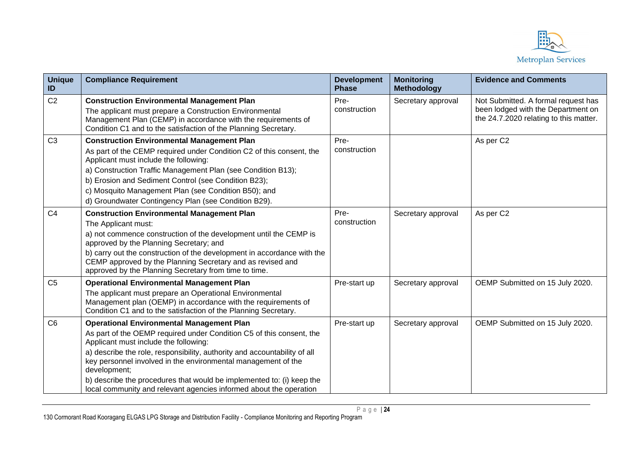

| <b>Unique</b><br>ID | <b>Compliance Requirement</b>                                                                                                                                                                                                                                                                                                                                                                                                                                                  | <b>Development</b><br><b>Phase</b> | <b>Monitoring</b><br>Methodology | <b>Evidence and Comments</b>                                                                                        |
|---------------------|--------------------------------------------------------------------------------------------------------------------------------------------------------------------------------------------------------------------------------------------------------------------------------------------------------------------------------------------------------------------------------------------------------------------------------------------------------------------------------|------------------------------------|----------------------------------|---------------------------------------------------------------------------------------------------------------------|
| C <sub>2</sub>      | <b>Construction Environmental Management Plan</b><br>The applicant must prepare a Construction Environmental<br>Management Plan (CEMP) in accordance with the requirements of<br>Condition C1 and to the satisfaction of the Planning Secretary.                                                                                                                                                                                                                               | Pre-<br>construction               | Secretary approval               | Not Submitted. A formal request has<br>been lodged with the Department on<br>the 24.7.2020 relating to this matter. |
| C <sub>3</sub>      | <b>Construction Environmental Management Plan</b><br>As part of the CEMP required under Condition C2 of this consent, the<br>Applicant must include the following:<br>a) Construction Traffic Management Plan (see Condition B13);<br>b) Erosion and Sediment Control (see Condition B23);<br>c) Mosquito Management Plan (see Condition B50); and<br>d) Groundwater Contingency Plan (see Condition B29).                                                                     | Pre-<br>construction               |                                  | As per C2                                                                                                           |
| C <sub>4</sub>      | <b>Construction Environmental Management Plan</b><br>The Applicant must:<br>a) not commence construction of the development until the CEMP is<br>approved by the Planning Secretary; and<br>b) carry out the construction of the development in accordance with the<br>CEMP approved by the Planning Secretary and as revised and<br>approved by the Planning Secretary from time to time.                                                                                     | Pre-<br>construction               | Secretary approval               | As per C2                                                                                                           |
| C <sub>5</sub>      | <b>Operational Environmental Management Plan</b><br>The applicant must prepare an Operational Environmental<br>Management plan (OEMP) in accordance with the requirements of<br>Condition C1 and to the satisfaction of the Planning Secretary.                                                                                                                                                                                                                                | Pre-start up                       | Secretary approval               | OEMP Submitted on 15 July 2020.                                                                                     |
| C <sub>6</sub>      | <b>Operational Environmental Management Plan</b><br>As part of the OEMP required under Condition C5 of this consent, the<br>Applicant must include the following:<br>a) describe the role, responsibility, authority and accountability of all<br>key personnel involved in the environmental management of the<br>development;<br>b) describe the procedures that would be implemented to: (i) keep the<br>local community and relevant agencies informed about the operation | Pre-start up                       | Secretary approval               | OEMP Submitted on 15 July 2020.                                                                                     |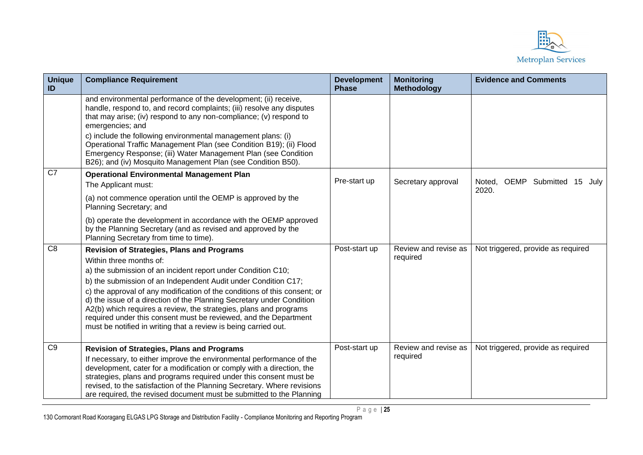

| <b>Unique</b><br>ID | <b>Compliance Requirement</b>                                                                                                                                                                                                                                                                                                                                                                                                                                                                                                                                                    | <b>Development</b><br><b>Phase</b> | <b>Monitoring</b><br><b>Methodology</b> | <b>Evidence and Comments</b>                 |
|---------------------|----------------------------------------------------------------------------------------------------------------------------------------------------------------------------------------------------------------------------------------------------------------------------------------------------------------------------------------------------------------------------------------------------------------------------------------------------------------------------------------------------------------------------------------------------------------------------------|------------------------------------|-----------------------------------------|----------------------------------------------|
|                     | and environmental performance of the development; (ii) receive,<br>handle, respond to, and record complaints; (iii) resolve any disputes<br>that may arise; (iv) respond to any non-compliance; (v) respond to<br>emergencies; and<br>c) include the following environmental management plans: (i)<br>Operational Traffic Management Plan (see Condition B19); (ii) Flood<br>Emergency Response; (iii) Water Management Plan (see Condition<br>B26); and (iv) Mosquito Management Plan (see Condition B50).                                                                      |                                    |                                         |                                              |
| $\overline{C7}$     | <b>Operational Environmental Management Plan</b><br>The Applicant must:                                                                                                                                                                                                                                                                                                                                                                                                                                                                                                          | Pre-start up                       | Secretary approval                      | Noted, OEMP Submitted<br>15<br>July<br>2020. |
|                     | (a) not commence operation until the OEMP is approved by the<br>Planning Secretary; and                                                                                                                                                                                                                                                                                                                                                                                                                                                                                          |                                    |                                         |                                              |
|                     | (b) operate the development in accordance with the OEMP approved<br>by the Planning Secretary (and as revised and approved by the<br>Planning Secretary from time to time).                                                                                                                                                                                                                                                                                                                                                                                                      |                                    |                                         |                                              |
| C <sub>8</sub>      | <b>Revision of Strategies, Plans and Programs</b><br>Within three months of:<br>a) the submission of an incident report under Condition C10;<br>b) the submission of an Independent Audit under Condition C17;<br>c) the approval of any modification of the conditions of this consent; or<br>d) the issue of a direction of the Planning Secretary under Condition<br>A2(b) which requires a review, the strategies, plans and programs<br>required under this consent must be reviewed, and the Department<br>must be notified in writing that a review is being carried out. | Post-start up                      | Review and revise as<br>required        | Not triggered, provide as required           |
| C <sub>9</sub>      | <b>Revision of Strategies, Plans and Programs</b><br>If necessary, to either improve the environmental performance of the<br>development, cater for a modification or comply with a direction, the<br>strategies, plans and programs required under this consent must be<br>revised, to the satisfaction of the Planning Secretary. Where revisions<br>are required, the revised document must be submitted to the Planning                                                                                                                                                      | Post-start up                      | Review and revise as<br>required        | Not triggered, provide as required           |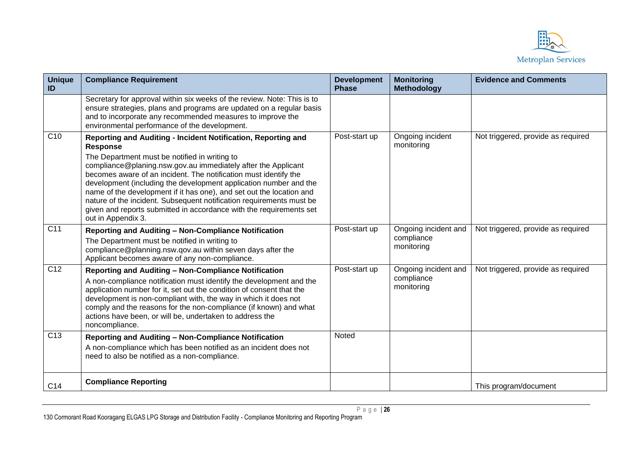

| <b>Unique</b><br>ID | <b>Compliance Requirement</b>                                                                                                                                                                                                                                                                                                                                                                                                                                                                                                                                                     | <b>Development</b><br><b>Phase</b> | <b>Monitoring</b><br><b>Methodology</b>          | <b>Evidence and Comments</b>       |
|---------------------|-----------------------------------------------------------------------------------------------------------------------------------------------------------------------------------------------------------------------------------------------------------------------------------------------------------------------------------------------------------------------------------------------------------------------------------------------------------------------------------------------------------------------------------------------------------------------------------|------------------------------------|--------------------------------------------------|------------------------------------|
|                     | Secretary for approval within six weeks of the review. Note: This is to<br>ensure strategies, plans and programs are updated on a regular basis<br>and to incorporate any recommended measures to improve the<br>environmental performance of the development.                                                                                                                                                                                                                                                                                                                    |                                    |                                                  |                                    |
| C10                 | Reporting and Auditing - Incident Notification, Reporting and<br>Response<br>The Department must be notified in writing to<br>compliance@planing.nsw.gov.au immediately after the Applicant<br>becomes aware of an incident. The notification must identify the<br>development (including the development application number and the<br>name of the development if it has one), and set out the location and<br>nature of the incident. Subsequent notification requirements must be<br>given and reports submitted in accordance with the requirements set<br>out in Appendix 3. | Post-start up                      | Ongoing incident<br>monitoring                   | Not triggered, provide as required |
| C <sub>11</sub>     | Reporting and Auditing - Non-Compliance Notification<br>The Department must be notified in writing to<br>compliance@planning.nsw.qov.au within seven days after the<br>Applicant becomes aware of any non-compliance.                                                                                                                                                                                                                                                                                                                                                             | Post-start up                      | Ongoing incident and<br>compliance<br>monitoring | Not triggered, provide as required |
| $\overline{C12}$    | Reporting and Auditing - Non-Compliance Notification<br>A non-compliance notification must identify the development and the<br>application number for it, set out the condition of consent that the<br>development is non-compliant with, the way in which it does not<br>comply and the reasons for the non-compliance (if known) and what<br>actions have been, or will be, undertaken to address the<br>noncompliance.                                                                                                                                                         | Post-start up                      | Ongoing incident and<br>compliance<br>monitoring | Not triggered, provide as required |
| C13                 | Reporting and Auditing - Non-Compliance Notification<br>A non-compliance which has been notified as an incident does not<br>need to also be notified as a non-compliance.                                                                                                                                                                                                                                                                                                                                                                                                         | Noted                              |                                                  |                                    |
| C14                 | <b>Compliance Reporting</b>                                                                                                                                                                                                                                                                                                                                                                                                                                                                                                                                                       |                                    |                                                  | This program/document              |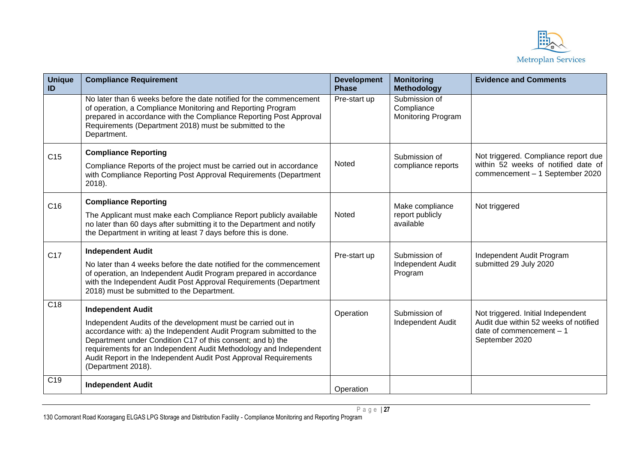

| <b>Unique</b><br>ID | <b>Compliance Requirement</b>                                                                                                                                                                                                                                                                                                                                                               | <b>Development</b><br><b>Phase</b> | <b>Monitoring</b><br><b>Methodology</b>                  | <b>Evidence and Comments</b>                                                                                               |
|---------------------|---------------------------------------------------------------------------------------------------------------------------------------------------------------------------------------------------------------------------------------------------------------------------------------------------------------------------------------------------------------------------------------------|------------------------------------|----------------------------------------------------------|----------------------------------------------------------------------------------------------------------------------------|
|                     | No later than 6 weeks before the date notified for the commencement<br>of operation, a Compliance Monitoring and Reporting Program<br>prepared in accordance with the Compliance Reporting Post Approval<br>Requirements (Department 2018) must be submitted to the<br>Department.                                                                                                          | Pre-start up                       | Submission of<br>Compliance<br><b>Monitoring Program</b> |                                                                                                                            |
| C <sub>15</sub>     | <b>Compliance Reporting</b><br>Compliance Reports of the project must be carried out in accordance<br>with Compliance Reporting Post Approval Requirements (Department<br>2018).                                                                                                                                                                                                            | Noted                              | Submission of<br>compliance reports                      | Not triggered. Compliance report due<br>within 52 weeks of notified date of<br>commencement - 1 September 2020             |
| C16                 | <b>Compliance Reporting</b><br>The Applicant must make each Compliance Report publicly available<br>no later than 60 days after submitting it to the Department and notify<br>the Department in writing at least 7 days before this is done.                                                                                                                                                | Noted                              | Make compliance<br>report publicly<br>available          | Not triggered                                                                                                              |
| C <sub>17</sub>     | <b>Independent Audit</b><br>No later than 4 weeks before the date notified for the commencement<br>of operation, an Independent Audit Program prepared in accordance<br>with the Independent Audit Post Approval Requirements (Department<br>2018) must be submitted to the Department.                                                                                                     | Pre-start up                       | Submission of<br>Independent Audit<br>Program            | Independent Audit Program<br>submitted 29 July 2020                                                                        |
| C18                 | <b>Independent Audit</b><br>Independent Audits of the development must be carried out in<br>accordance with: a) the Independent Audit Program submitted to the<br>Department under Condition C17 of this consent; and b) the<br>requirements for an Independent Audit Methodology and Independent<br>Audit Report in the Independent Audit Post Approval Requirements<br>(Department 2018). | Operation                          | Submission of<br>Independent Audit                       | Not triggered. Initial Independent<br>Audit due within 52 weeks of notified<br>date of commencement $-1$<br>September 2020 |
| C <sub>19</sub>     | <b>Independent Audit</b>                                                                                                                                                                                                                                                                                                                                                                    | Operation                          |                                                          |                                                                                                                            |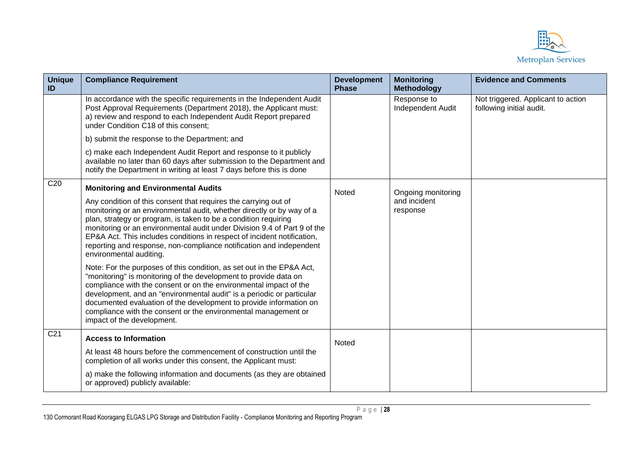

| <b>Unique</b><br>ID | <b>Compliance Requirement</b>                                                                                                                                                                                                                                                                                                                                                                                                                                        | <b>Development</b><br><b>Phase</b> | <b>Monitoring</b><br><b>Methodology</b> | <b>Evidence and Comments</b>                                   |
|---------------------|----------------------------------------------------------------------------------------------------------------------------------------------------------------------------------------------------------------------------------------------------------------------------------------------------------------------------------------------------------------------------------------------------------------------------------------------------------------------|------------------------------------|-----------------------------------------|----------------------------------------------------------------|
|                     | In accordance with the specific requirements in the Independent Audit<br>Post Approval Requirements (Department 2018), the Applicant must:<br>a) review and respond to each Independent Audit Report prepared<br>under Condition C18 of this consent;                                                                                                                                                                                                                |                                    | Response to<br>Independent Audit        | Not triggered. Applicant to action<br>following initial audit. |
|                     | b) submit the response to the Department; and                                                                                                                                                                                                                                                                                                                                                                                                                        |                                    |                                         |                                                                |
|                     | c) make each Independent Audit Report and response to it publicly<br>available no later than 60 days after submission to the Department and<br>notify the Department in writing at least 7 days before this is done                                                                                                                                                                                                                                                  |                                    |                                         |                                                                |
| C20                 | <b>Monitoring and Environmental Audits</b>                                                                                                                                                                                                                                                                                                                                                                                                                           | Noted                              | Ongoing monitoring                      |                                                                |
|                     | Any condition of this consent that requires the carrying out of<br>monitoring or an environmental audit, whether directly or by way of a<br>plan, strategy or program, is taken to be a condition requiring<br>monitoring or an environmental audit under Division 9.4 of Part 9 of the<br>EP&A Act. This includes conditions in respect of incident notification,<br>reporting and response, non-compliance notification and independent<br>environmental auditing. |                                    | and incident<br>response                |                                                                |
|                     | Note: For the purposes of this condition, as set out in the EP&A Act,<br>"monitoring" is monitoring of the development to provide data on<br>compliance with the consent or on the environmental impact of the<br>development, and an "environmental audit" is a periodic or particular<br>documented evaluation of the development to provide information on<br>compliance with the consent or the environmental management or<br>impact of the development.        |                                    |                                         |                                                                |
| C <sub>21</sub>     | <b>Access to Information</b>                                                                                                                                                                                                                                                                                                                                                                                                                                         | Noted                              |                                         |                                                                |
|                     | At least 48 hours before the commencement of construction until the<br>completion of all works under this consent, the Applicant must:                                                                                                                                                                                                                                                                                                                               |                                    |                                         |                                                                |
|                     | a) make the following information and documents (as they are obtained<br>or approved) publicly available:                                                                                                                                                                                                                                                                                                                                                            |                                    |                                         |                                                                |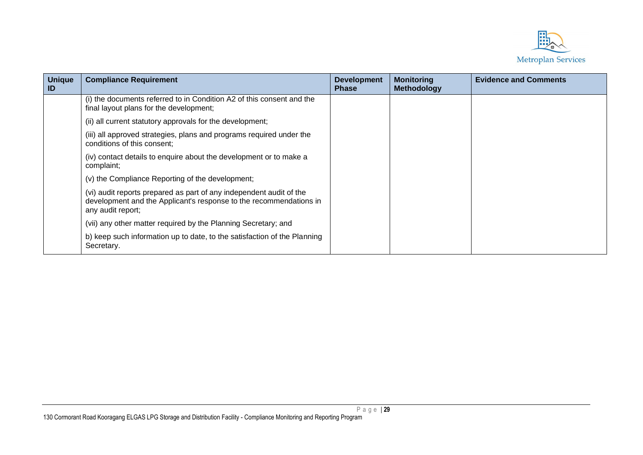

| <b>Unique</b><br>$\blacksquare$ | <b>Compliance Requirement</b>                                                                                                                                  | <b>Development</b><br>Phase | <b>Monitoring</b><br><b>Methodology</b> | <b>Evidence and Comments</b> |
|---------------------------------|----------------------------------------------------------------------------------------------------------------------------------------------------------------|-----------------------------|-----------------------------------------|------------------------------|
|                                 | (i) the documents referred to in Condition A2 of this consent and the<br>final layout plans for the development;                                               |                             |                                         |                              |
|                                 | (ii) all current statutory approvals for the development;                                                                                                      |                             |                                         |                              |
|                                 | (iii) all approved strategies, plans and programs required under the<br>conditions of this consent;                                                            |                             |                                         |                              |
|                                 | (iv) contact details to enquire about the development or to make a<br>complaint;                                                                               |                             |                                         |                              |
|                                 | (v) the Compliance Reporting of the development;                                                                                                               |                             |                                         |                              |
|                                 | (vi) audit reports prepared as part of any independent audit of the<br>development and the Applicant's response to the recommendations in<br>any audit report; |                             |                                         |                              |
|                                 | (vii) any other matter required by the Planning Secretary; and                                                                                                 |                             |                                         |                              |
|                                 | b) keep such information up to date, to the satisfaction of the Planning<br>Secretary.                                                                         |                             |                                         |                              |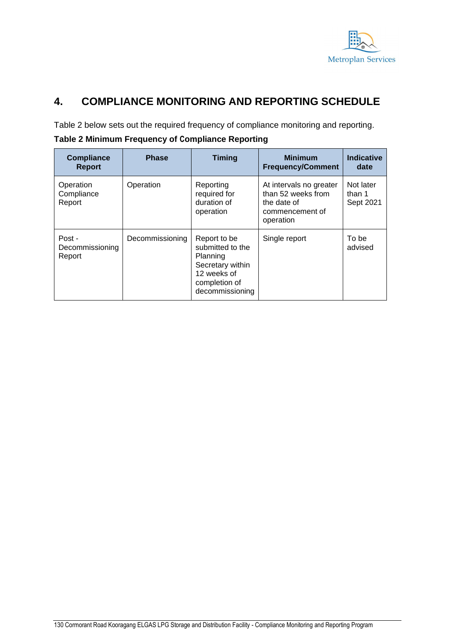

## **4. COMPLIANCE MONITORING AND REPORTING SCHEDULE**

Table 2 below sets out the required frequency of compliance monitoring and reporting.

| <b>Compliance</b><br><b>Report</b>  | <b>Phase</b>    | <b>Timing</b>                                                                                                       | <b>Minimum</b><br><b>Frequency/Comment</b>                                                   | <b>Indicative</b><br>date        |
|-------------------------------------|-----------------|---------------------------------------------------------------------------------------------------------------------|----------------------------------------------------------------------------------------------|----------------------------------|
| Operation<br>Compliance<br>Report   | Operation       | Reporting<br>required for<br>duration of<br>operation                                                               | At intervals no greater<br>than 52 weeks from<br>the date of<br>commencement of<br>operation | Not later<br>than 1<br>Sept 2021 |
| Post -<br>Decommissioning<br>Report | Decommissioning | Report to be<br>submitted to the<br>Planning<br>Secretary within<br>12 weeks of<br>completion of<br>decommissioning | Single report                                                                                | To be<br>advised                 |

**Table 2 Minimum Frequency of Compliance Reporting**